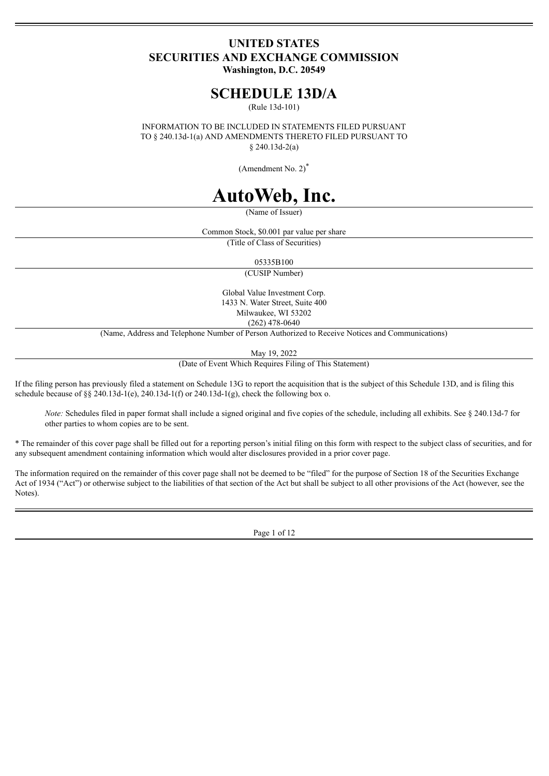# **UNITED STATES SECURITIES AND EXCHANGE COMMISSION Washington, D.C. 20549**

# **SCHEDULE 13D/A**

(Rule 13d-101)

INFORMATION TO BE INCLUDED IN STATEMENTS FILED PURSUANT TO § 240.13d-1(a) AND AMENDMENTS THERETO FILED PURSUANT TO § 240.13d-2(a)

(Amendment No. 2) \*

# **AutoWeb, Inc.**

(Name of Issuer)

Common Stock, \$0.001 par value per share

(Title of Class of Securities)

05335B100

(CUSIP Number)

Global Value Investment Corp. 1433 N. Water Street, Suite 400 Milwaukee, WI 53202 (262) 478-0640

(Name, Address and Telephone Number of Person Authorized to Receive Notices and Communications)

May 19, 2022

(Date of Event Which Requires Filing of This Statement)

If the filing person has previously filed a statement on Schedule 13G to report the acquisition that is the subject of this Schedule 13D, and is filing this schedule because of §§ 240.13d-1(e), 240.13d-1(f) or 240.13d-1(g), check the following box o.

*Note:* Schedules filed in paper format shall include a signed original and five copies of the schedule, including all exhibits. See § 240.13d-7 for other parties to whom copies are to be sent.

\* The remainder of this cover page shall be filled out for a reporting person's initial filing on this form with respect to the subject class of securities, and for any subsequent amendment containing information which would alter disclosures provided in a prior cover page.

The information required on the remainder of this cover page shall not be deemed to be "filed" for the purpose of Section 18 of the Securities Exchange Act of 1934 ("Act") or otherwise subject to the liabilities of that section of the Act but shall be subject to all other provisions of the Act (however, see the Notes).

Page 1 of 12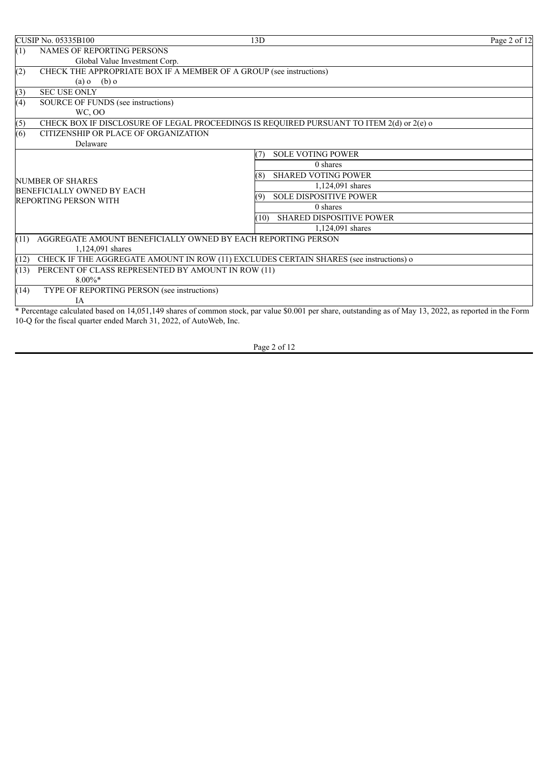| <b>CUSIP No. 05335B100</b>                                                 | 13D                                                                                                                                                      | Page 2 of 12 |
|----------------------------------------------------------------------------|----------------------------------------------------------------------------------------------------------------------------------------------------------|--------------|
| (1)<br>NAMES OF REPORTING PERSONS                                          |                                                                                                                                                          |              |
| Global Value Investment Corp.                                              |                                                                                                                                                          |              |
| CHECK THE APPROPRIATE BOX IF A MEMBER OF A GROUP (see instructions)<br>(2) |                                                                                                                                                          |              |
| $(b)$ o<br>$(a)$ o                                                         |                                                                                                                                                          |              |
| <b>SEC USE ONLY</b><br>(3)                                                 |                                                                                                                                                          |              |
| (4)<br>SOURCE OF FUNDS (see instructions)                                  |                                                                                                                                                          |              |
| WC, OO                                                                     |                                                                                                                                                          |              |
| (5)                                                                        | CHECK BOX IF DISCLOSURE OF LEGAL PROCEEDINGS IS REQUIRED PURSUANT TO ITEM 2(d) or 2(e) o                                                                 |              |
| (6)<br>CITIZENSHIP OR PLACE OF ORGANIZATION                                |                                                                                                                                                          |              |
| Delaware                                                                   |                                                                                                                                                          |              |
|                                                                            | <b>SOLE VOTING POWER</b>                                                                                                                                 |              |
|                                                                            | 0 shares                                                                                                                                                 |              |
| <b>NUMBER OF SHARES</b>                                                    | <b>SHARED VOTING POWER</b><br>(8)                                                                                                                        |              |
| BENEFICIALLY OWNED BY EACH                                                 | 1,124,091 shares                                                                                                                                         |              |
| <b>REPORTING PERSON WITH</b>                                               | <b>SOLE DISPOSITIVE POWER</b>                                                                                                                            |              |
|                                                                            | 0 shares                                                                                                                                                 |              |
|                                                                            | <b>SHARED DISPOSITIVE POWER</b><br>(10)                                                                                                                  |              |
|                                                                            | 1,124,091 shares                                                                                                                                         |              |
| AGGREGATE AMOUNT BENEFICIALLY OWNED BY EACH REPORTING PERSON<br>(11)       |                                                                                                                                                          |              |
| 1,124,091 shares                                                           |                                                                                                                                                          |              |
| (12)                                                                       | CHECK IF THE AGGREGATE AMOUNT IN ROW (11) EXCLUDES CERTAIN SHARES (see instructions) o                                                                   |              |
| PERCENT OF CLASS REPRESENTED BY AMOUNT IN ROW (11)<br>(13)                 |                                                                                                                                                          |              |
| $8.00\%$ *                                                                 |                                                                                                                                                          |              |
| (14)<br>TYPE OF REPORTING PERSON (see instructions)                        |                                                                                                                                                          |              |
| <b>IA</b>                                                                  |                                                                                                                                                          |              |
|                                                                            | * Percentage calculated based on 14,051,149 shares of common stock, par value \$0.001 per share, outstanding as of May 13, 2022, as reported in the Form |              |

Page 2 of 12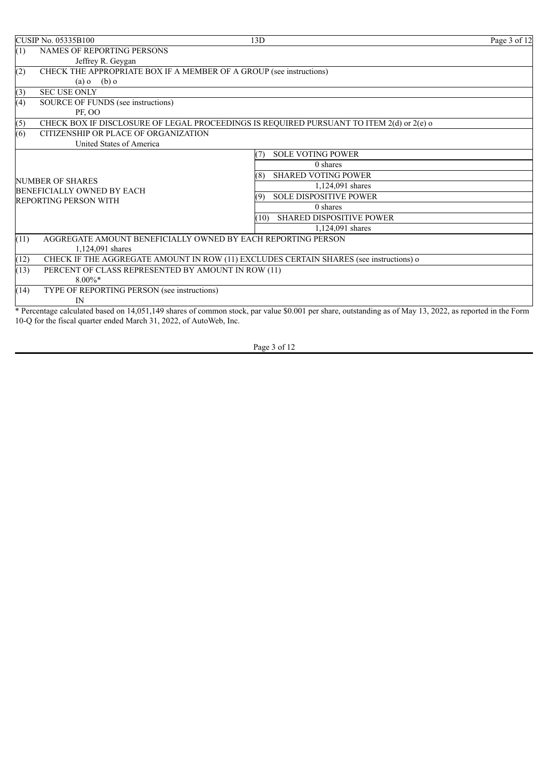|                                                | <b>CUSIP No. 05335B100</b>                                                               | 13D                                                                                                                                                      | Page 3 of 12 |
|------------------------------------------------|------------------------------------------------------------------------------------------|----------------------------------------------------------------------------------------------------------------------------------------------------------|--------------|
| (1)                                            | <b>NAMES OF REPORTING PERSONS</b>                                                        |                                                                                                                                                          |              |
|                                                | Jeffrey R. Geygan                                                                        |                                                                                                                                                          |              |
| (2)                                            | CHECK THE APPROPRIATE BOX IF A MEMBER OF A GROUP (see instructions)                      |                                                                                                                                                          |              |
|                                                | $(a) 0$ $(b) 0$                                                                          |                                                                                                                                                          |              |
| (3)                                            | <b>SEC USE ONLY</b>                                                                      |                                                                                                                                                          |              |
| (4)                                            | SOURCE OF FUNDS (see instructions)                                                       |                                                                                                                                                          |              |
|                                                | PF, OO                                                                                   |                                                                                                                                                          |              |
| (5)                                            | CHECK BOX IF DISCLOSURE OF LEGAL PROCEEDINGS IS REQUIRED PURSUANT TO ITEM 2(d) or 2(e) o |                                                                                                                                                          |              |
| $\overline{(6)}$                               | CITIZENSHIP OR PLACE OF ORGANIZATION                                                     |                                                                                                                                                          |              |
|                                                | United States of America                                                                 |                                                                                                                                                          |              |
|                                                |                                                                                          | <b>SOLE VOTING POWER</b><br>7)                                                                                                                           |              |
|                                                |                                                                                          | $0$ shares                                                                                                                                               |              |
| NUMBER OF SHARES<br>BENEFICIALLY OWNED BY EACH |                                                                                          | <b>SHARED VOTING POWER</b><br>(8)                                                                                                                        |              |
|                                                |                                                                                          | 1,124,091 shares                                                                                                                                         |              |
|                                                | <b>REPORTING PERSON WITH</b>                                                             | <b>SOLE DISPOSITIVE POWER</b><br>(9)                                                                                                                     |              |
|                                                |                                                                                          | 0 shares                                                                                                                                                 |              |
|                                                |                                                                                          | <b>SHARED DISPOSITIVE POWER</b><br>(10)                                                                                                                  |              |
|                                                |                                                                                          | 1,124,091 shares                                                                                                                                         |              |
| (11)                                           | AGGREGATE AMOUNT BENEFICIALLY OWNED BY EACH REPORTING PERSON<br>1,124,091 shares         |                                                                                                                                                          |              |
| (12)                                           | CHECK IF THE AGGREGATE AMOUNT IN ROW (11) EXCLUDES CERTAIN SHARES (see instructions) o   |                                                                                                                                                          |              |
| (13)                                           | PERCENT OF CLASS REPRESENTED BY AMOUNT IN ROW (11)                                       |                                                                                                                                                          |              |
|                                                | $8.00\%$ *                                                                               |                                                                                                                                                          |              |
| (14)                                           | TYPE OF REPORTING PERSON (see instructions)                                              |                                                                                                                                                          |              |
|                                                | IN                                                                                       |                                                                                                                                                          |              |
|                                                |                                                                                          | * Percentage calculated based on 14,051,149 shares of common stock, par value \$0.001 per share, outstanding as of May 13, 2022, as reported in the Form |              |

Page 3 of 12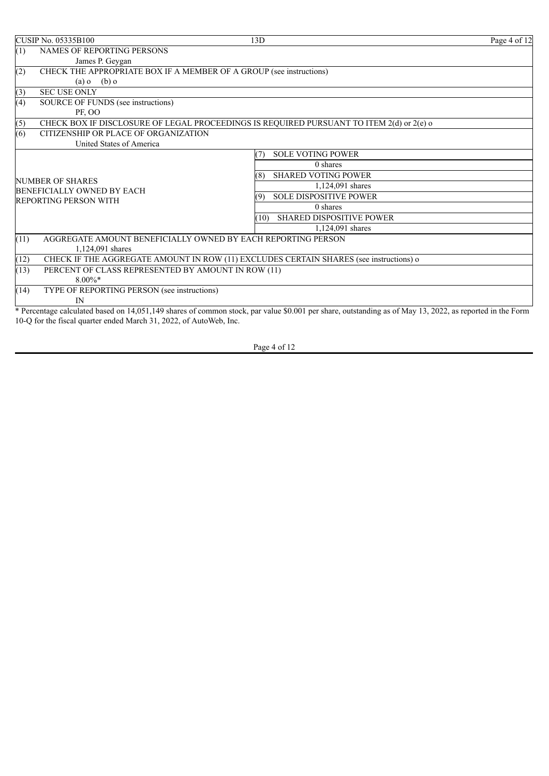| <b>CUSIP No. 05335B100</b>                                                               | 13D                                                                                                                                                      | Page 4 of 12 |
|------------------------------------------------------------------------------------------|----------------------------------------------------------------------------------------------------------------------------------------------------------|--------------|
| <b>NAMES OF REPORTING PERSONS</b><br>(1)                                                 |                                                                                                                                                          |              |
| James P. Geygan                                                                          |                                                                                                                                                          |              |
| CHECK THE APPROPRIATE BOX IF A MEMBER OF A GROUP (see instructions)<br>(2)               |                                                                                                                                                          |              |
| $(a) 0$ $(b) 0$                                                                          |                                                                                                                                                          |              |
| <b>SEC USE ONLY</b><br>(3)                                                               |                                                                                                                                                          |              |
| (4)<br>SOURCE OF FUNDS (see instructions)                                                |                                                                                                                                                          |              |
| PF, OO                                                                                   |                                                                                                                                                          |              |
| (5)                                                                                      | CHECK BOX IF DISCLOSURE OF LEGAL PROCEEDINGS IS REQUIRED PURSUANT TO ITEM 2(d) or 2(e) o                                                                 |              |
| $\overline{(6)}$<br>CITIZENSHIP OR PLACE OF ORGANIZATION                                 |                                                                                                                                                          |              |
| United States of America                                                                 |                                                                                                                                                          |              |
|                                                                                          | <b>SOLE VOTING POWER</b><br>7)                                                                                                                           |              |
|                                                                                          | $0$ shares                                                                                                                                               |              |
| NUMBER OF SHARES                                                                         | <b>SHARED VOTING POWER</b><br>(8)                                                                                                                        |              |
| BENEFICIALLY OWNED BY EACH                                                               | 1,124,091 shares                                                                                                                                         |              |
| <b>REPORTING PERSON WITH</b>                                                             | <b>SOLE DISPOSITIVE POWER</b><br>(9)                                                                                                                     |              |
|                                                                                          | 0 shares                                                                                                                                                 |              |
|                                                                                          | <b>SHARED DISPOSITIVE POWER</b><br>(10)                                                                                                                  |              |
|                                                                                          | 1,124,091 shares                                                                                                                                         |              |
| (11)<br>AGGREGATE AMOUNT BENEFICIALLY OWNED BY EACH REPORTING PERSON<br>1,124,091 shares |                                                                                                                                                          |              |
| (12)                                                                                     | CHECK IF THE AGGREGATE AMOUNT IN ROW (11) EXCLUDES CERTAIN SHARES (see instructions) o                                                                   |              |
| (13)<br>PERCENT OF CLASS REPRESENTED BY AMOUNT IN ROW (11)                               |                                                                                                                                                          |              |
| $8.00\%$ *                                                                               |                                                                                                                                                          |              |
| TYPE OF REPORTING PERSON (see instructions)<br>(14)                                      |                                                                                                                                                          |              |
| IN                                                                                       |                                                                                                                                                          |              |
|                                                                                          | * Percentage calculated based on 14,051,149 shares of common stock, par value \$0.001 per share, outstanding as of May 13, 2022, as reported in the Form |              |

Page 4 of 12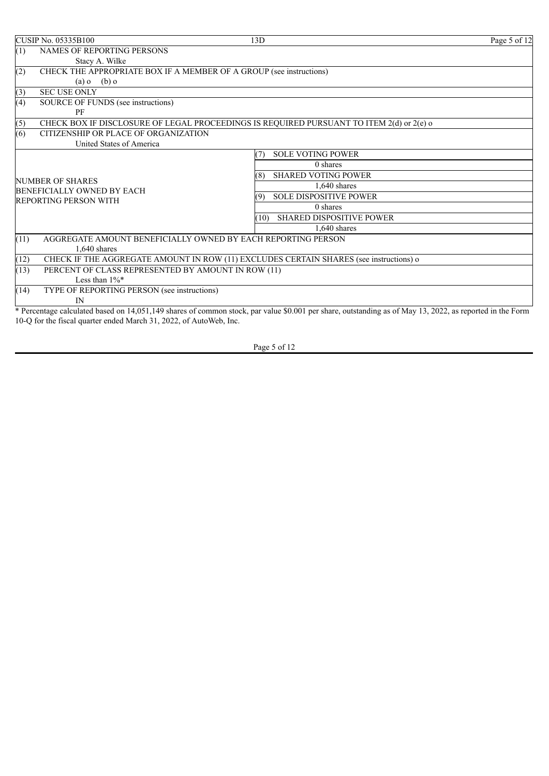|                                                       | <b>CUSIP No. 05335B100</b>                                          | 13D                                                                                                                                                      | Page 5 of 12 |
|-------------------------------------------------------|---------------------------------------------------------------------|----------------------------------------------------------------------------------------------------------------------------------------------------------|--------------|
| (1)                                                   | <b>NAMES OF REPORTING PERSONS</b>                                   |                                                                                                                                                          |              |
|                                                       | Stacy A. Wilke                                                      |                                                                                                                                                          |              |
| (2)                                                   | CHECK THE APPROPRIATE BOX IF A MEMBER OF A GROUP (see instructions) |                                                                                                                                                          |              |
|                                                       | $(b)$ o<br>$(a)$ o                                                  |                                                                                                                                                          |              |
| (3)                                                   | <b>SEC USE ONLY</b>                                                 |                                                                                                                                                          |              |
| (4)                                                   | SOURCE OF FUNDS (see instructions)                                  |                                                                                                                                                          |              |
|                                                       | PF                                                                  |                                                                                                                                                          |              |
| (5)                                                   |                                                                     | CHECK BOX IF DISCLOSURE OF LEGAL PROCEEDINGS IS REQUIRED PURSUANT TO ITEM 2(d) or 2(e) o                                                                 |              |
| (6)                                                   | CITIZENSHIP OR PLACE OF ORGANIZATION                                |                                                                                                                                                          |              |
|                                                       | United States of America                                            |                                                                                                                                                          |              |
|                                                       |                                                                     | <b>SOLE VOTING POWER</b><br>(7)                                                                                                                          |              |
|                                                       |                                                                     | $0$ shares                                                                                                                                               |              |
|                                                       |                                                                     | <b>SHARED VOTING POWER</b><br>(8)                                                                                                                        |              |
| <b>NUMBER OF SHARES</b><br>BENEFICIALLY OWNED BY EACH |                                                                     | $1.640$ shares                                                                                                                                           |              |
|                                                       | <b>REPORTING PERSON WITH</b>                                        | <b>SOLE DISPOSITIVE POWER</b><br>(9)                                                                                                                     |              |
|                                                       |                                                                     | 0 shares                                                                                                                                                 |              |
|                                                       |                                                                     | <b>SHARED DISPOSITIVE POWER</b><br>10 <sub>1</sub>                                                                                                       |              |
|                                                       |                                                                     | $1.640$ shares                                                                                                                                           |              |
| (11)                                                  | AGGREGATE AMOUNT BENEFICIALLY OWNED BY EACH REPORTING PERSON        |                                                                                                                                                          |              |
|                                                       | $1.640$ shares                                                      |                                                                                                                                                          |              |
| (12)                                                  |                                                                     | CHECK IF THE AGGREGATE AMOUNT IN ROW (11) EXCLUDES CERTAIN SHARES (see instructions) o                                                                   |              |
| (13)                                                  | PERCENT OF CLASS REPRESENTED BY AMOUNT IN ROW (11)                  |                                                                                                                                                          |              |
|                                                       | Less than $1\%$ *                                                   |                                                                                                                                                          |              |
| (14)                                                  | TYPE OF REPORTING PERSON (see instructions)                         |                                                                                                                                                          |              |
|                                                       | IN                                                                  |                                                                                                                                                          |              |
|                                                       |                                                                     | * Percentage calculated based on 14,051,149 shares of common stock, par value \$0.001 per share, outstanding as of May 13, 2022, as reported in the Form |              |

Page 5 of 12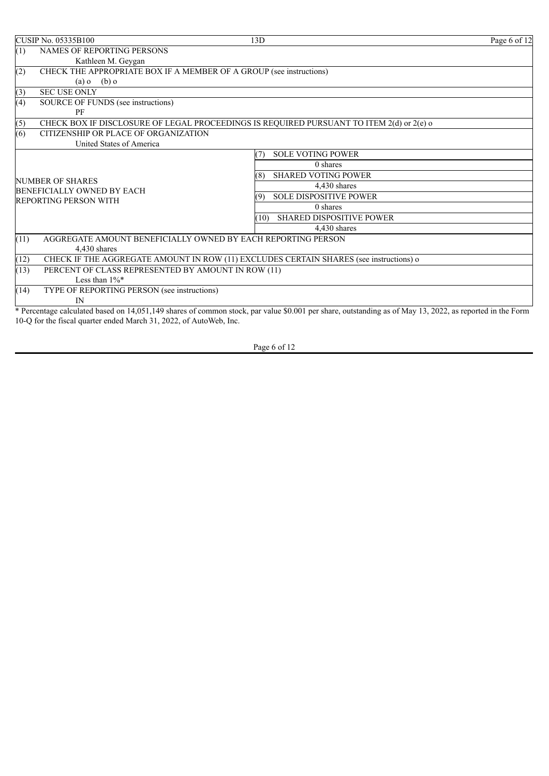|      | <b>CUSIP No. 05335B100</b>                                          | 13D                                                                                                                                                      | Page 6 of 12 |
|------|---------------------------------------------------------------------|----------------------------------------------------------------------------------------------------------------------------------------------------------|--------------|
| (1)  | <b>NAMES OF REPORTING PERSONS</b>                                   |                                                                                                                                                          |              |
|      | Kathleen M. Geygan                                                  |                                                                                                                                                          |              |
| (2)  | CHECK THE APPROPRIATE BOX IF A MEMBER OF A GROUP (see instructions) |                                                                                                                                                          |              |
|      | $(b)$ o<br>$(a)$ o                                                  |                                                                                                                                                          |              |
| (3)  | <b>SEC USE ONLY</b>                                                 |                                                                                                                                                          |              |
| (4)  | SOURCE OF FUNDS (see instructions)                                  |                                                                                                                                                          |              |
|      | PF                                                                  |                                                                                                                                                          |              |
| (5)  |                                                                     | CHECK BOX IF DISCLOSURE OF LEGAL PROCEEDINGS IS REQUIRED PURSUANT TO ITEM 2(d) or 2(e) o                                                                 |              |
| (6)  | CITIZENSHIP OR PLACE OF ORGANIZATION                                |                                                                                                                                                          |              |
|      | United States of America                                            |                                                                                                                                                          |              |
|      |                                                                     | <b>SOLE VOTING POWER</b><br>(7)                                                                                                                          |              |
|      |                                                                     | $0$ shares                                                                                                                                               |              |
|      | <b>NUMBER OF SHARES</b>                                             | <b>SHARED VOTING POWER</b><br>(8)                                                                                                                        |              |
|      | BENEFICIALLY OWNED BY EACH                                          | 4,430 shares                                                                                                                                             |              |
|      | REPORTING PERSON WITH                                               | <b>SOLE DISPOSITIVE POWER</b><br>(9)                                                                                                                     |              |
|      |                                                                     | $0$ shares                                                                                                                                               |              |
|      |                                                                     | SHARED DISPOSITIVE POWER<br>(10)                                                                                                                         |              |
|      |                                                                     | 4.430 shares                                                                                                                                             |              |
| (11) | AGGREGATE AMOUNT BENEFICIALLY OWNED BY EACH REPORTING PERSON        |                                                                                                                                                          |              |
|      | 4.430 shares                                                        |                                                                                                                                                          |              |
| (12) |                                                                     | CHECK IF THE AGGREGATE AMOUNT IN ROW (11) EXCLUDES CERTAIN SHARES (see instructions) o                                                                   |              |
| (13) | PERCENT OF CLASS REPRESENTED BY AMOUNT IN ROW (11)                  |                                                                                                                                                          |              |
|      | Less than $1\%$ *                                                   |                                                                                                                                                          |              |
| (14) | TYPE OF REPORTING PERSON (see instructions)                         |                                                                                                                                                          |              |
|      | IN                                                                  |                                                                                                                                                          |              |
|      |                                                                     | * Percentage calculated based on 14.051.149 shares of common stock, par value \$0.001 per share, outstanding as of May 13, 2022, as reported in the Form |              |

\* Percentage calculated based on 14,051,149 shares of common stock, par value \$0.001 per share, outstanding as of May 13, 2022, as reported in the Form 10-Q for the fiscal quarter ended March 31, 2022, of AutoWeb, Inc.

Page 6 of 12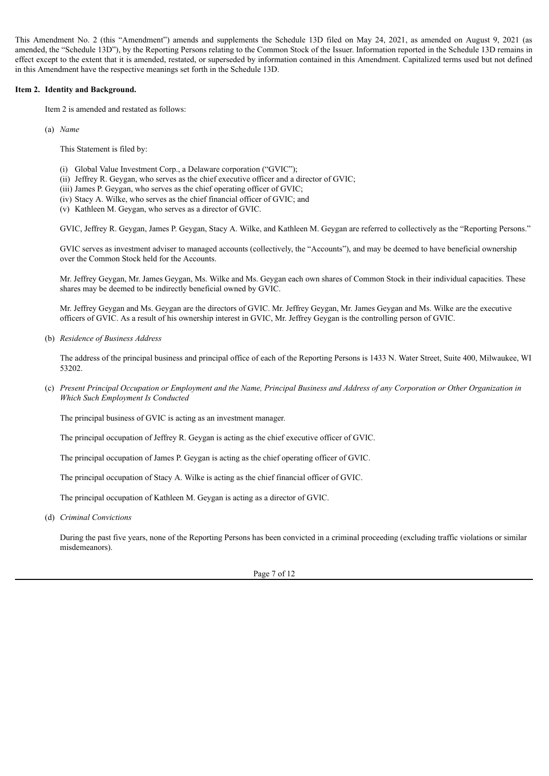This Amendment No. 2 (this "Amendment") amends and supplements the Schedule 13D filed on May 24, 2021, as amended on August 9, 2021 (as amended, the "Schedule 13D"), by the Reporting Persons relating to the Common Stock of the Issuer. Information reported in the Schedule 13D remains in effect except to the extent that it is amended, restated, or superseded by information contained in this Amendment. Capitalized terms used but not defined in this Amendment have the respective meanings set forth in the Schedule 13D.

#### **Item 2. Identity and Background.**

Item 2 is amended and restated as follows:

(a) *Name*

This Statement is filed by:

- (i) Global Value Investment Corp., a Delaware corporation ("GVIC");
- (ii) Jeffrey R. Geygan, who serves as the chief executive officer and a director of GVIC;
- (iii) James P. Geygan, who serves as the chief operating officer of GVIC;
- (iv) Stacy A. Wilke, who serves as the chief financial officer of GVIC; and
- (v) Kathleen M. Geygan, who serves as a director of GVIC.

GVIC, Jeffrey R. Geygan, James P. Geygan, Stacy A. Wilke, and Kathleen M. Geygan are referred to collectively as the "Reporting Persons."

GVIC serves as investment adviser to managed accounts (collectively, the "Accounts"), and may be deemed to have beneficial ownership over the Common Stock held for the Accounts.

Mr. Jeffrey Geygan, Mr. James Geygan, Ms. Wilke and Ms. Geygan each own shares of Common Stock in their individual capacities. These shares may be deemed to be indirectly beneficial owned by GVIC.

Mr. Jeffrey Geygan and Ms. Geygan are the directors of GVIC. Mr. Jeffrey Geygan, Mr. James Geygan and Ms. Wilke are the executive officers of GVIC. As a result of his ownership interest in GVIC, Mr. Jeffrey Geygan is the controlling person of GVIC.

(b) *Residence of Business Address*

The address of the principal business and principal office of each of the Reporting Persons is 1433 N. Water Street, Suite 400, Milwaukee, WI 53202.

(c) Present Principal Occupation or Employment and the Name, Principal Business and Address of any Corporation or Other Organization in *Which Such Employment Is Conducted*

The principal business of GVIC is acting as an investment manager.

The principal occupation of Jeffrey R. Geygan is acting as the chief executive officer of GVIC.

The principal occupation of James P. Geygan is acting as the chief operating officer of GVIC.

The principal occupation of Stacy A. Wilke is acting as the chief financial officer of GVIC.

The principal occupation of Kathleen M. Geygan is acting as a director of GVIC.

(d) *Criminal Convictions*

During the past five years, none of the Reporting Persons has been convicted in a criminal proceeding (excluding traffic violations or similar misdemeanors).

Page 7 of 12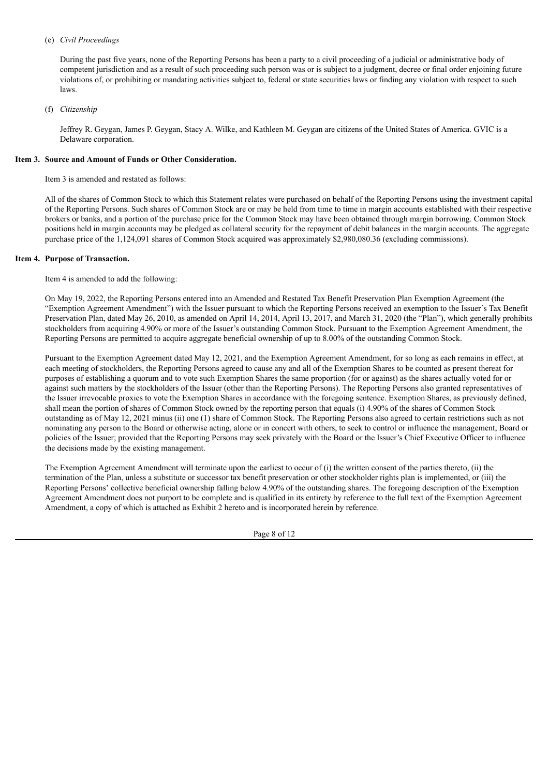#### (e) *Civil Proceedings*

During the past five years, none of the Reporting Persons has been a party to a civil proceeding of a judicial or administrative body of competent jurisdiction and as a result of such proceeding such person was or is subject to a judgment, decree or final order enjoining future violations of, or prohibiting or mandating activities subject to, federal or state securities laws or finding any violation with respect to such laws.

#### (f) *Citizenship*

Jeffrey R. Geygan, James P. Geygan, Stacy A. Wilke, and Kathleen M. Geygan are citizens of the United States of America. GVIC is a Delaware corporation.

### **Item 3. Source and Amount of Funds or Other Consideration.**

Item 3 is amended and restated as follows:

All of the shares of Common Stock to which this Statement relates were purchased on behalf of the Reporting Persons using the investment capital of the Reporting Persons. Such shares of Common Stock are or may be held from time to time in margin accounts established with their respective brokers or banks, and a portion of the purchase price for the Common Stock may have been obtained through margin borrowing. Common Stock positions held in margin accounts may be pledged as collateral security for the repayment of debit balances in the margin accounts. The aggregate purchase price of the 1,124,091 shares of Common Stock acquired was approximately \$2,980,080.36 (excluding commissions).

#### **Item 4. Purpose of Transaction.**

Item 4 is amended to add the following:

On May 19, 2022, the Reporting Persons entered into an Amended and Restated Tax Benefit Preservation Plan Exemption Agreement (the "Exemption Agreement Amendment") with the Issuer pursuant to which the Reporting Persons received an exemption to the Issuer's Tax Benefit Preservation Plan, dated May 26, 2010, as amended on April 14, 2014, April 13, 2017, and March 31, 2020 (the "Plan"), which generally prohibits stockholders from acquiring 4.90% or more of the Issuer's outstanding Common Stock. Pursuant to the Exemption Agreement Amendment, the Reporting Persons are permitted to acquire aggregate beneficial ownership of up to 8.00% of the outstanding Common Stock.

Pursuant to the Exemption Agreement dated May 12, 2021, and the Exemption Agreement Amendment, for so long as each remains in effect, at each meeting of stockholders, the Reporting Persons agreed to cause any and all of the Exemption Shares to be counted as present thereat for purposes of establishing a quorum and to vote such Exemption Shares the same proportion (for or against) as the shares actually voted for or against such matters by the stockholders of the Issuer (other than the Reporting Persons). The Reporting Persons also granted representatives of the Issuer irrevocable proxies to vote the Exemption Shares in accordance with the foregoing sentence. Exemption Shares, as previously defined, shall mean the portion of shares of Common Stock owned by the reporting person that equals (i) 4.90% of the shares of Common Stock outstanding as of May 12, 2021 minus (ii) one (1) share of Common Stock. The Reporting Persons also agreed to certain restrictions such as not nominating any person to the Board or otherwise acting, alone or in concert with others, to seek to control or influence the management, Board or policies of the Issuer; provided that the Reporting Persons may seek privately with the Board or the Issuer's Chief Executive Officer to influence the decisions made by the existing management.

The Exemption Agreement Amendment will terminate upon the earliest to occur of (i) the written consent of the parties thereto, (ii) the termination of the Plan, unless a substitute or successor tax benefit preservation or other stockholder rights plan is implemented, or (iii) the Reporting Persons' collective beneficial ownership falling below 4.90% of the outstanding shares. The foregoing description of the Exemption Agreement Amendment does not purport to be complete and is qualified in its entirety by reference to the full text of the Exemption Agreement Amendment, a copy of which is attached as Exhibit 2 hereto and is incorporated herein by reference.

Page 8 of 12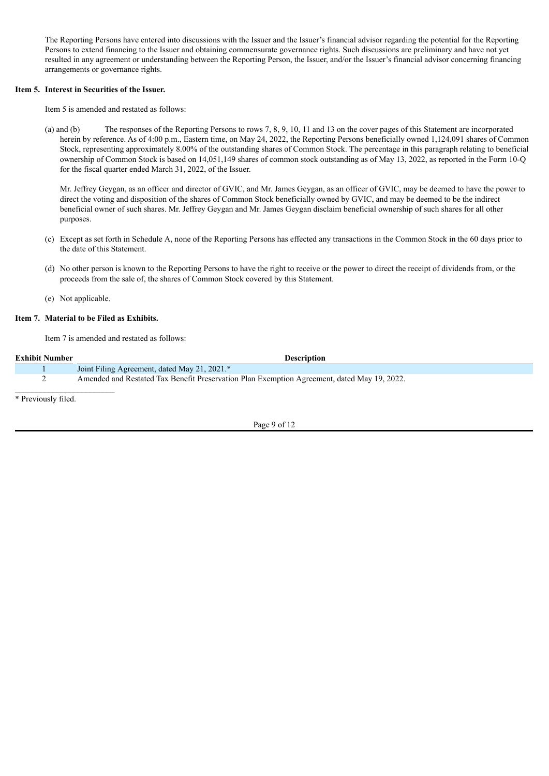The Reporting Persons have entered into discussions with the Issuer and the Issuer's financial advisor regarding the potential for the Reporting Persons to extend financing to the Issuer and obtaining commensurate governance rights. Such discussions are preliminary and have not yet resulted in any agreement or understanding between the Reporting Person, the Issuer, and/or the Issuer's financial advisor concerning financing arrangements or governance rights.

#### **Item 5. Interest in Securities of the Issuer.**

Item 5 is amended and restated as follows:

(a) and (b) The responses of the Reporting Persons to rows 7, 8, 9, 10, 11 and 13 on the cover pages of this Statement are incorporated herein by reference. As of 4:00 p.m., Eastern time, on May 24, 2022, the Reporting Persons beneficially owned 1,124,091 shares of Common Stock, representing approximately 8.00% of the outstanding shares of Common Stock. The percentage in this paragraph relating to beneficial ownership of Common Stock is based on 14,051,149 shares of common stock outstanding as of May 13, 2022, as reported in the Form 10-Q for the fiscal quarter ended March 31, 2022, of the Issuer.

Mr. Jeffrey Geygan, as an officer and director of GVIC, and Mr. James Geygan, as an officer of GVIC, may be deemed to have the power to direct the voting and disposition of the shares of Common Stock beneficially owned by GVIC, and may be deemed to be the indirect beneficial owner of such shares. Mr. Jeffrey Geygan and Mr. James Geygan disclaim beneficial ownership of such shares for all other purposes.

- (c) Except as set forth in Schedule A, none of the Reporting Persons has effected any transactions in the Common Stock in the 60 days prior to the date of this Statement.
- (d) No other person is known to the Reporting Persons to have the right to receive or the power to direct the receipt of dividends from, or the proceeds from the sale of, the shares of Common Stock covered by this Statement.
- (e) Not applicable.

# **Item 7. Material to be Filed as Exhibits.**

Item 7 is amended and restated as follows:

| <b>Exhibit Number</b> | <b>Description</b>                                                                          |
|-----------------------|---------------------------------------------------------------------------------------------|
|                       | Joint Filing Agreement, dated May 21, 2021.*                                                |
|                       | Amended and Restated Tax Benefit Preservation Plan Exemption Agreement, dated May 19, 2022. |
| * Previously filed.   |                                                                                             |

Page 9 of 12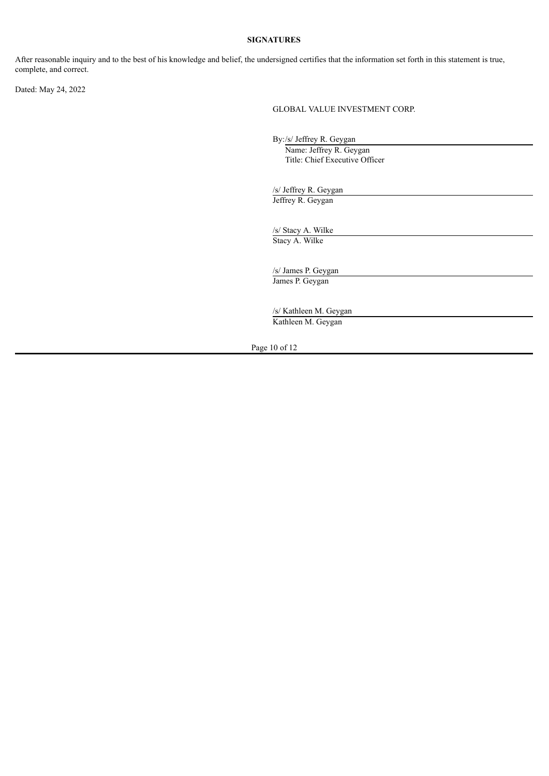# **SIGNATURES**

After reasonable inquiry and to the best of his knowledge and belief, the undersigned certifies that the information set forth in this statement is true, complete, and correct.

Dated: May 24, 2022

GLOBAL VALUE INVESTMENT CORP.

By:/s/ Jeffrey R. Geygan Name: Jeffrey R. Geygan Title: Chief Executive Officer

/s/ Jeffrey R. Geygan Jeffrey R. Geygan

/s/ Stacy A. Wilke Stacy A. Wilke

/s/ James P. Geygan James P. Geygan

/s/ Kathleen M. Geygan Kathleen M. Geygan

Page 10 of 12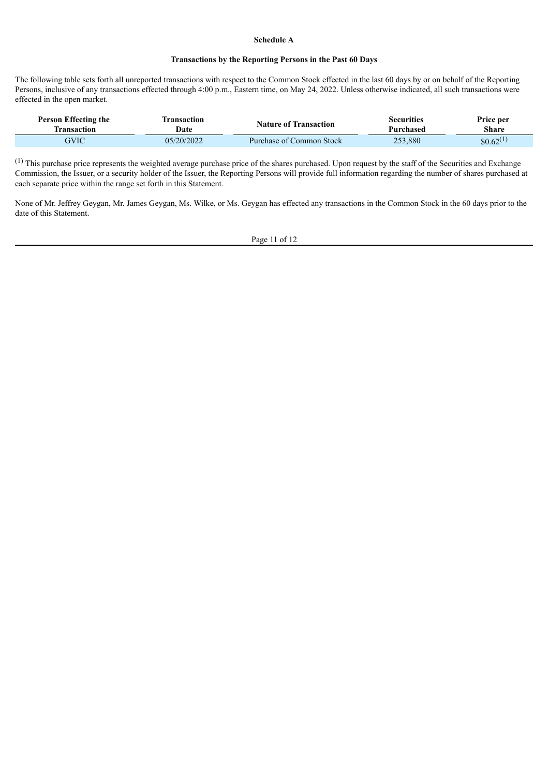#### **Schedule A**

#### **Transactions by the Reporting Persons in the Past 60 Days**

The following table sets forth all unreported transactions with respect to the Common Stock effected in the last 60 days by or on behalf of the Reporting Persons, inclusive of any transactions effected through 4:00 p.m., Eastern time, on May 24, 2022. Unless otherwise indicated, all such transactions were effected in the open market.

| Person Effecting the | <b>Transaction</b> | <b>Nature of Transaction</b> | Securities | Price per              |
|----------------------|--------------------|------------------------------|------------|------------------------|
| <b>Transaction</b>   | Date               |                              | Purchased  | Share                  |
| GVIC                 | 05/20/2022         | Purchase of Common Stock     | 253,880    | $$0.62$ <sup>(1)</sup> |

(1) This purchase price represents the weighted average purchase price of the shares purchased. Upon request by the staff of the Securities and Exchange Commission, the Issuer, or a security holder of the Issuer, the Reporting Persons will provide full information regarding the number of shares purchased at each separate price within the range set forth in this Statement.

None of Mr. Jeffrey Geygan, Mr. James Geygan, Ms. Wilke, or Ms. Geygan has effected any transactions in the Common Stock in the 60 days prior to the date of this Statement.

Page 11 of 12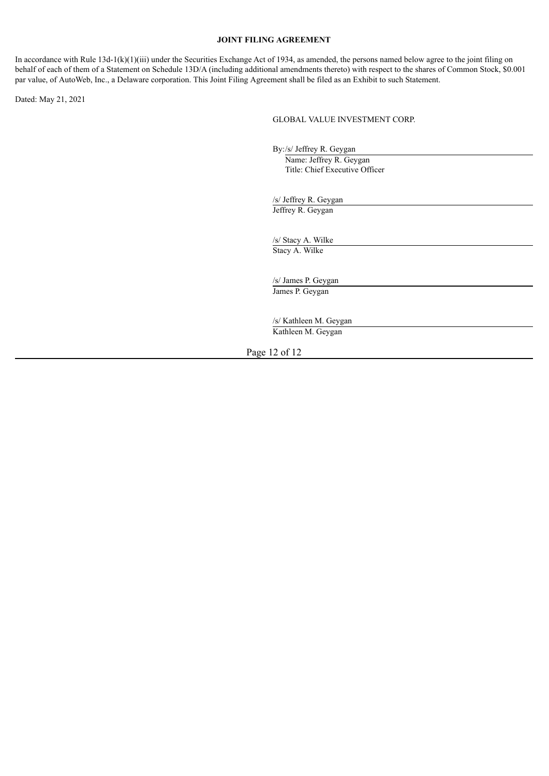#### **JOINT FILING AGREEMENT**

In accordance with Rule  $13d-1(k)(1)(iii)$  under the Securities Exchange Act of 1934, as amended, the persons named below agree to the joint filing on behalf of each of them of a Statement on Schedule 13D/A (including additional amendments thereto) with respect to the shares of Common Stock, \$0.001 par value, of AutoWeb, Inc., a Delaware corporation. This Joint Filing Agreement shall be filed as an Exhibit to such Statement.

Dated: May 21, 2021

#### GLOBAL VALUE INVESTMENT CORP.

By:/s/ Jeffrey R. Geygan

Name: Jeffrey R. Geygan Title: Chief Executive Officer

/s/ Jeffrey R. Geygan Jeffrey R. Geygan

/s/ Stacy A. Wilke Stacy A. Wilke

/s/ James P. Geygan James P. Geygan

/s/ Kathleen M. Geygan Kathleen M. Geygan

Page 12 of 12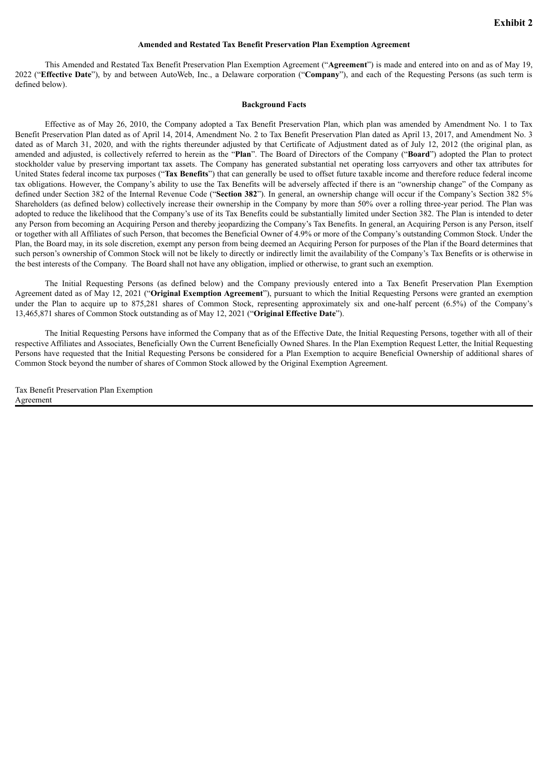#### **Amended and Restated Tax Benefit Preservation Plan Exemption Agreement**

This Amended and Restated Tax Benefit Preservation Plan Exemption Agreement ("**Agreement**") is made and entered into on and as of May 19, 2022 ("**Effective Date**"), by and between AutoWeb, Inc., a Delaware corporation ("**Company**"), and each of the Requesting Persons (as such term is defined below).

#### **Background Facts**

Effective as of May 26, 2010, the Company adopted a Tax Benefit Preservation Plan, which plan was amended by Amendment No. 1 to Tax Benefit Preservation Plan dated as of April 14, 2014, Amendment No. 2 to Tax Benefit Preservation Plan dated as April 13, 2017, and Amendment No. 3 dated as of March 31, 2020, and with the rights thereunder adjusted by that Certificate of Adjustment dated as of July 12, 2012 (the original plan, as amended and adjusted, is collectively referred to herein as the "**Plan**". The Board of Directors of the Company ("**Board**") adopted the Plan to protect stockholder value by preserving important tax assets. The Company has generated substantial net operating loss carryovers and other tax attributes for United States federal income tax purposes ("**Tax Benefits**") that can generally be used to offset future taxable income and therefore reduce federal income tax obligations. However, the Company's ability to use the Tax Benefits will be adversely affected if there is an "ownership change" of the Company as defined under Section 382 of the Internal Revenue Code ("**Section 382**"). In general, an ownership change will occur if the Company's Section 382 5% Shareholders (as defined below) collectively increase their ownership in the Company by more than 50% over a rolling three-year period. The Plan was adopted to reduce the likelihood that the Company's use of its Tax Benefits could be substantially limited under Section 382. The Plan is intended to deter any Person from becoming an Acquiring Person and thereby jeopardizing the Company's Tax Benefits. In general, an Acquiring Person is any Person, itself or together with all Affiliates of such Person, that becomes the Beneficial Owner of 4.9% or more of the Company's outstanding Common Stock. Under the Plan, the Board may, in its sole discretion, exempt any person from being deemed an Acquiring Person for purposes of the Plan if the Board determines that such person's ownership of Common Stock will not be likely to directly or indirectly limit the availability of the Company's Tax Benefits or is otherwise in the best interests of the Company. The Board shall not have any obligation, implied or otherwise, to grant such an exemption.

The Initial Requesting Persons (as defined below) and the Company previously entered into a Tax Benefit Preservation Plan Exemption Agreement dated as of May 12, 2021 ("**Original Exemption Agreement**"), pursuant to which the Initial Requesting Persons were granted an exemption under the Plan to acquire up to 875,281 shares of Common Stock, representing approximately six and one-half percent (6.5%) of the Company's 13,465,871 shares of Common Stock outstanding as of May 12, 2021 ("**Original Effective Date**").

The Initial Requesting Persons have informed the Company that as of the Effective Date, the Initial Requesting Persons, together with all of their respective Affiliates and Associates, Beneficially Own the Current Beneficially Owned Shares. In the Plan Exemption Request Letter, the Initial Requesting Persons have requested that the Initial Requesting Persons be considered for a Plan Exemption to acquire Beneficial Ownership of additional shares of Common Stock beyond the number of shares of Common Stock allowed by the Original Exemption Agreement.

Tax Benefit Preservation Plan Exemption Agreement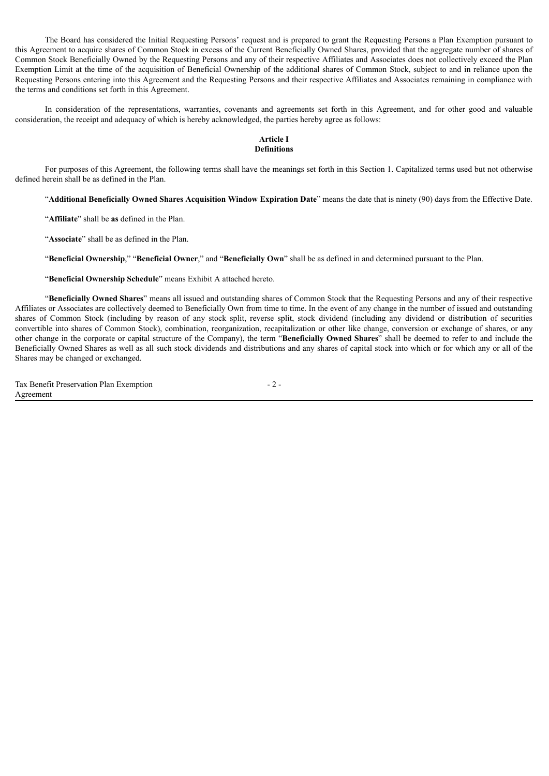The Board has considered the Initial Requesting Persons' request and is prepared to grant the Requesting Persons a Plan Exemption pursuant to this Agreement to acquire shares of Common Stock in excess of the Current Beneficially Owned Shares, provided that the aggregate number of shares of Common Stock Beneficially Owned by the Requesting Persons and any of their respective Affiliates and Associates does not collectively exceed the Plan Exemption Limit at the time of the acquisition of Beneficial Ownership of the additional shares of Common Stock, subject to and in reliance upon the Requesting Persons entering into this Agreement and the Requesting Persons and their respective Affiliates and Associates remaining in compliance with the terms and conditions set forth in this Agreement.

In consideration of the representations, warranties, covenants and agreements set forth in this Agreement, and for other good and valuable consideration, the receipt and adequacy of which is hereby acknowledged, the parties hereby agree as follows:

#### **Article I Definitions**

For purposes of this Agreement, the following terms shall have the meanings set forth in this Section 1. Capitalized terms used but not otherwise defined herein shall be as defined in the Plan.

"**Additional Beneficially Owned Shares Acquisition Window Expiration Date**" means the date that is ninety (90) days from the Effective Date.

"**Affiliate**" shall be **as** defined in the Plan.

"**Associate**" shall be as defined in the Plan.

"**Beneficial Ownership**," "**Beneficial Owner**," and "**Beneficially Own**" shall be as defined in and determined pursuant to the Plan.

"**Beneficial Ownership Schedule**" means Exhibit A attached hereto.

"**Beneficially Owned Shares**" means all issued and outstanding shares of Common Stock that the Requesting Persons and any of their respective Affiliates or Associates are collectively deemed to Beneficially Own from time to time. In the event of any change in the number of issued and outstanding shares of Common Stock (including by reason of any stock split, reverse split, stock dividend (including any dividend or distribution of securities convertible into shares of Common Stock), combination, reorganization, recapitalization or other like change, conversion or exchange of shares, or any other change in the corporate or capital structure of the Company), the term "**Beneficially Owned Shares**" shall be deemed to refer to and include the Beneficially Owned Shares as well as all such stock dividends and distributions and any shares of capital stock into which or for which any or all of the Shares may be changed or exchanged.

Tax Benefit Preservation Plan Exemption Agreement

- 2 -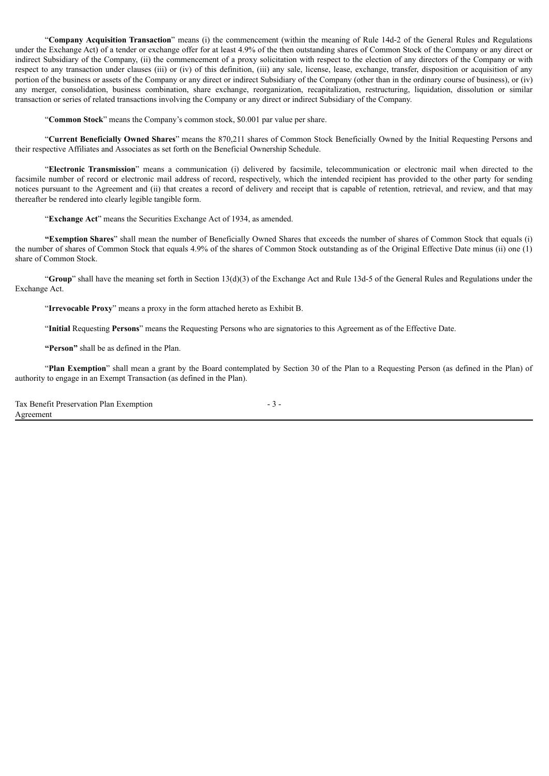"**Company Acquisition Transaction**" means (i) the commencement (within the meaning of Rule 14d-2 of the General Rules and Regulations under the Exchange Act) of a tender or exchange offer for at least 4.9% of the then outstanding shares of Common Stock of the Company or any direct or indirect Subsidiary of the Company, (ii) the commencement of a proxy solicitation with respect to the election of any directors of the Company or with respect to any transaction under clauses (iii) or (iv) of this definition, (iii) any sale, license, lease, exchange, transfer, disposition or acquisition of any portion of the business or assets of the Company or any direct or indirect Subsidiary of the Company (other than in the ordinary course of business), or (iv) any merger, consolidation, business combination, share exchange, reorganization, recapitalization, restructuring, liquidation, dissolution or similar transaction or series of related transactions involving the Company or any direct or indirect Subsidiary of the Company.

"**Common Stock**" means the Company's common stock, \$0.001 par value per share.

"**Current Beneficially Owned Shares**" means the 870,211 shares of Common Stock Beneficially Owned by the Initial Requesting Persons and their respective Affiliates and Associates as set forth on the Beneficial Ownership Schedule.

"**Electronic Transmission**" means a communication (i) delivered by facsimile, telecommunication or electronic mail when directed to the facsimile number of record or electronic mail address of record, respectively, which the intended recipient has provided to the other party for sending notices pursuant to the Agreement and (ii) that creates a record of delivery and receipt that is capable of retention, retrieval, and review, and that may thereafter be rendered into clearly legible tangible form.

"**Exchange Act**" means the Securities Exchange Act of 1934, as amended.

**"Exemption Shares**" shall mean the number of Beneficially Owned Shares that exceeds the number of shares of Common Stock that equals (i) the number of shares of Common Stock that equals 4.9% of the shares of Common Stock outstanding as of the Original Effective Date minus (ii) one (1) share of Common Stock.

"**Group**" shall have the meaning set forth in Section 13(d)(3) of the Exchange Act and Rule 13d-5 of the General Rules and Regulations under the Exchange Act.

"**Irrevocable Proxy**" means a proxy in the form attached hereto as Exhibit B.

"**Initial** Requesting **Persons**" means the Requesting Persons who are signatories to this Agreement as of the Effective Date.

**"Person"** shall be as defined in the Plan.

"**Plan Exemption**" shall mean a grant by the Board contemplated by Section 30 of the Plan to a Requesting Person (as defined in the Plan) of authority to engage in an Exempt Transaction (as defined in the Plan).

| Tax Benefit Preservation Plan Exemption |  |
|-----------------------------------------|--|
| Agreement                               |  |

- 3 -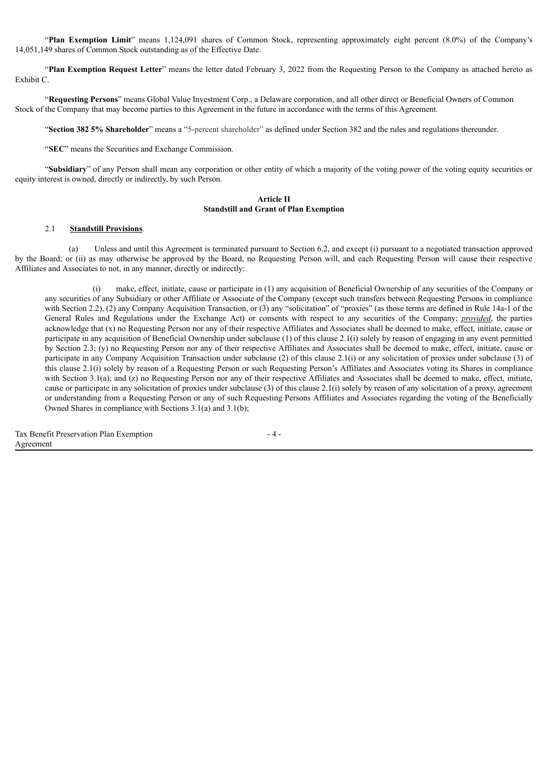"**Plan Exemption Limit**" means 1,124,091 shares of Common Stock, representing approximately eight percent (8.0%) of the Company's 14,051,149 shares of Common Stock outstanding as of the Effective Date.

"**Plan Exemption Request Letter**" means the letter dated February 3, 2022 from the Requesting Person to the Company as attached hereto as Exhibit C.

"**Requesting Persons**" means Global Value Investment Corp., a Delaware corporation, and all other direct or Beneficial Owners of Common Stock of the Company that may become parties to this Agreement in the future in accordance with the terms of this Agreement.

"**Section 382 5% Shareholder**" means a "5-percent shareholder" as defined under Section 382 and the rules and regulations thereunder.

"**SEC**" means the Securities and Exchange Commission.

"**Subsidiary**" of any Person shall mean any corporation or other entity of which a majority of the voting power of the voting equity securities or equity interest is owned, directly or indirectly, by such Person.

#### **Article II Standstill and Grant of Plan Exemption**

#### 2.1 **Standstill Provisions**.

(a) Unless and until this Agreement is terminated pursuant to Section 6.2, and except (i) pursuant to a negotiated transaction approved by the Board; or (ii) as may otherwise be approved by the Board, no Requesting Person will, and each Requesting Person will cause their respective Affiliates and Associates to not, in any manner, directly or indirectly:

(i) make, effect, initiate, cause or participate in (1) any acquisition of Beneficial Ownership of any securities of the Company or any securities of any Subsidiary or other Affiliate or Associate of the Company (except such transfers between Requesting Persons in compliance with Section 2.2), (2) any Company Acquisition Transaction, or (3) any "solicitation" of "proxies" (as those terms are defined in Rule 14a-1 of the General Rules and Regulations under the Exchange Act) or consents with respect to any securities of the Company; *provided*, the parties acknowledge that (x) no Requesting Person nor any of their respective Affiliates and Associates shall be deemed to make, effect, initiate, cause or participate in any acquisition of Beneficial Ownership under subclause (1) of this clause 2.1(i) solely by reason of engaging in any event permitted by Section 2.3; (y) no Requesting Person nor any of their respective Affiliates and Associates shall be deemed to make, effect, initiate, cause or participate in any Company Acquisition Transaction under subclause (2) of this clause 2.1(i) or any solicitation of proxies under subclause (3) of this clause 2.1(i) solely by reason of a Requesting Person or such Requesting Person's Affiliates and Associates voting its Shares in compliance with Section 3.1(a); and (z) no Requesting Person nor any of their respective Affiliates and Associates shall be deemed to make, effect, initiate, cause or participate in any solicitation of proxies under subclause (3) of this clause 2.1(i) solely by reason of any solicitation of a proxy, agreement or understanding from a Requesting Person or any of such Requesting Persons Affiliates and Associates regarding the voting of the Beneficially Owned Shares in compliance with Sections 3.1(a) and 3.1(b);

Tax Benefit Preservation Plan Exemption Agreement

 $-4-$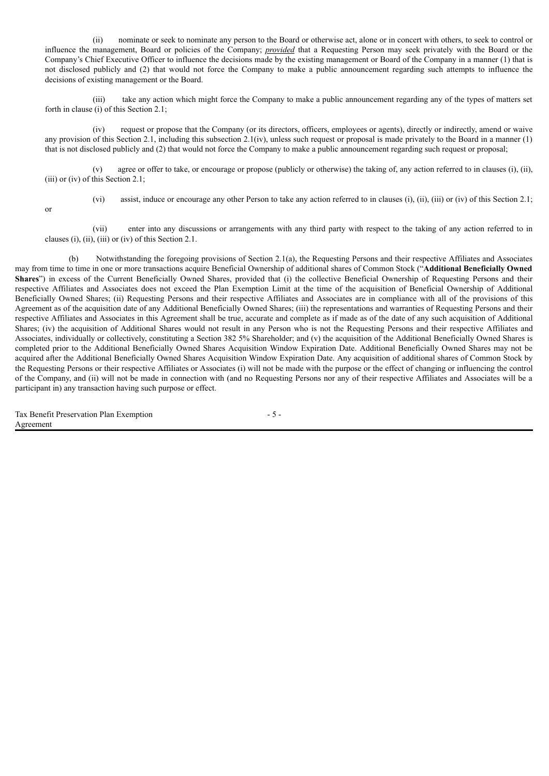(ii) nominate or seek to nominate any person to the Board or otherwise act, alone or in concert with others, to seek to control or influence the management, Board or policies of the Company; *provided* that a Requesting Person may seek privately with the Board or the Company's Chief Executive Officer to influence the decisions made by the existing management or Board of the Company in a manner (1) that is not disclosed publicly and (2) that would not force the Company to make a public announcement regarding such attempts to influence the decisions of existing management or the Board.

(iii) take any action which might force the Company to make a public announcement regarding any of the types of matters set forth in clause (i) of this Section 2.1;

(iv) request or propose that the Company (or its directors, officers, employees or agents), directly or indirectly, amend or waive any provision of this Section 2.1, including this subsection  $2.1(iv)$ , unless such request or proposal is made privately to the Board in a manner (1) that is not disclosed publicly and (2) that would not force the Company to make a public announcement regarding such request or proposal;

(v) agree or offer to take, or encourage or propose (publicly or otherwise) the taking of, any action referred to in clauses (i), (ii), (iii) or (iv) of this Section 2.1;

or

(vi) assist, induce or encourage any other Person to take any action referred to in clauses (i), (ii), (iii) or (iv) of this Section 2.1;

(vii) enter into any discussions or arrangements with any third party with respect to the taking of any action referred to in clauses (i), (ii), (iii) or (iv) of this Section 2.1.

(b) Notwithstanding the foregoing provisions of Section 2.1(a), the Requesting Persons and their respective Affiliates and Associates may from time to time in one or more transactions acquire Beneficial Ownership of additional shares of Common Stock ("**Additional Beneficially Owned Shares**") in excess of the Current Beneficially Owned Shares, provided that (i) the collective Beneficial Ownership of Requesting Persons and their respective Affiliates and Associates does not exceed the Plan Exemption Limit at the time of the acquisition of Beneficial Ownership of Additional Beneficially Owned Shares; (ii) Requesting Persons and their respective Affiliates and Associates are in compliance with all of the provisions of this Agreement as of the acquisition date of any Additional Beneficially Owned Shares; (iii) the representations and warranties of Requesting Persons and their respective Affiliates and Associates in this Agreement shall be true, accurate and complete as if made as of the date of any such acquisition of Additional Shares; (iv) the acquisition of Additional Shares would not result in any Person who is not the Requesting Persons and their respective Affiliates and Associates, individually or collectively, constituting a Section 382 5% Shareholder; and (v) the acquisition of the Additional Beneficially Owned Shares is completed prior to the Additional Beneficially Owned Shares Acquisition Window Expiration Date. Additional Beneficially Owned Shares may not be acquired after the Additional Beneficially Owned Shares Acquisition Window Expiration Date. Any acquisition of additional shares of Common Stock by the Requesting Persons or their respective Affiliates or Associates (i) will not be made with the purpose or the effect of changing or influencing the control of the Company, and (ii) will not be made in connection with (and no Requesting Persons nor any of their respective Affiliates and Associates will be a participant in) any transaction having such purpose or effect.

Tax Benefit Preservation Plan Exemption Agreement

- 5 -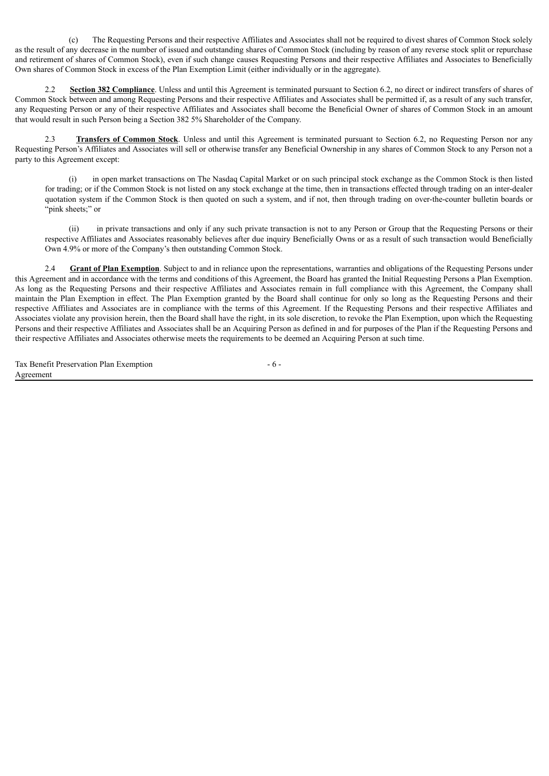(c) The Requesting Persons and their respective Affiliates and Associates shall not be required to divest shares of Common Stock solely as the result of any decrease in the number of issued and outstanding shares of Common Stock (including by reason of any reverse stock split or repurchase and retirement of shares of Common Stock), even if such change causes Requesting Persons and their respective Affiliates and Associates to Beneficially Own shares of Common Stock in excess of the Plan Exemption Limit (either individually or in the aggregate).

2.2 **Section 382 Compliance**. Unless and until this Agreement is terminated pursuant to Section 6.2, no direct or indirect transfers of shares of Common Stock between and among Requesting Persons and their respective Affiliates and Associates shall be permitted if, as a result of any such transfer, any Requesting Person or any of their respective Affiliates and Associates shall become the Beneficial Owner of shares of Common Stock in an amount that would result in such Person being a Section 382 5% Shareholder of the Company.

**Transfers of Common Stock**. Unless and until this Agreement is terminated pursuant to Section 6.2, no Requesting Person nor any Requesting Person's Affiliates and Associates will sell or otherwise transfer any Beneficial Ownership in any shares of Common Stock to any Person not a party to this Agreement except:

(i) in open market transactions on The Nasdaq Capital Market or on such principal stock exchange as the Common Stock is then listed for trading; or if the Common Stock is not listed on any stock exchange at the time, then in transactions effected through trading on an inter-dealer quotation system if the Common Stock is then quoted on such a system, and if not, then through trading on over-the-counter bulletin boards or "pink sheets;" or

(ii) in private transactions and only if any such private transaction is not to any Person or Group that the Requesting Persons or their respective Affiliates and Associates reasonably believes after due inquiry Beneficially Owns or as a result of such transaction would Beneficially Own 4.9% or more of the Company's then outstanding Common Stock.

**Grant of Plan Exemption**. Subject to and in reliance upon the representations, warranties and obligations of the Requesting Persons under this Agreement and in accordance with the terms and conditions of this Agreement, the Board has granted the Initial Requesting Persons a Plan Exemption. As long as the Requesting Persons and their respective Affiliates and Associates remain in full compliance with this Agreement, the Company shall maintain the Plan Exemption in effect. The Plan Exemption granted by the Board shall continue for only so long as the Requesting Persons and their respective Affiliates and Associates are in compliance with the terms of this Agreement. If the Requesting Persons and their respective Affiliates and Associates violate any provision herein, then the Board shall have the right, in its sole discretion, to revoke the Plan Exemption, upon which the Requesting Persons and their respective Affiliates and Associates shall be an Acquiring Person as defined in and for purposes of the Plan if the Requesting Persons and their respective Affiliates and Associates otherwise meets the requirements to be deemed an Acquiring Person at such time.

Tax Benefit Preservation Plan Exemption Agreement

- 6 -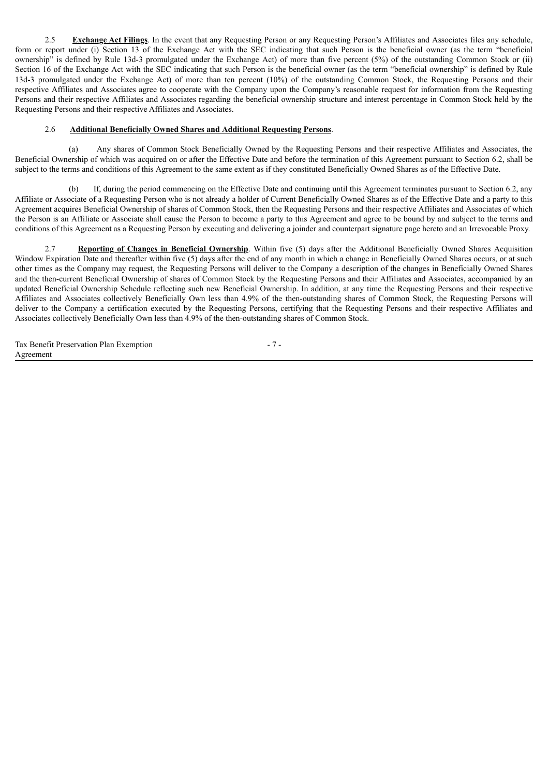2.5 **Exchange Act Filings**. In the event that any Requesting Person or any Requesting Person's Affiliates and Associates files any schedule, form or report under (i) Section 13 of the Exchange Act with the SEC indicating that such Person is the beneficial owner (as the term "beneficial ownership" is defined by Rule 13d-3 promulgated under the Exchange Act) of more than five percent (5%) of the outstanding Common Stock or (ii) Section 16 of the Exchange Act with the SEC indicating that such Person is the beneficial owner (as the term "beneficial ownership" is defined by Rule 13d-3 promulgated under the Exchange Act) of more than ten percent (10%) of the outstanding Common Stock, the Requesting Persons and their respective Affiliates and Associates agree to cooperate with the Company upon the Company's reasonable request for information from the Requesting Persons and their respective Affiliates and Associates regarding the beneficial ownership structure and interest percentage in Common Stock held by the Requesting Persons and their respective Affiliates and Associates.

#### 2.6 **Additional Beneficially Owned Shares and Additional Requesting Persons**.

(a) Any shares of Common Stock Beneficially Owned by the Requesting Persons and their respective Affiliates and Associates, the Beneficial Ownership of which was acquired on or after the Effective Date and before the termination of this Agreement pursuant to Section 6.2, shall be subject to the terms and conditions of this Agreement to the same extent as if they constituted Beneficially Owned Shares as of the Effective Date.

(b) If, during the period commencing on the Effective Date and continuing until this Agreement terminates pursuant to Section 6.2, any Affiliate or Associate of a Requesting Person who is not already a holder of Current Beneficially Owned Shares as of the Effective Date and a party to this Agreement acquires Beneficial Ownership of shares of Common Stock, then the Requesting Persons and their respective Affiliates and Associates of which the Person is an Affiliate or Associate shall cause the Person to become a party to this Agreement and agree to be bound by and subject to the terms and conditions of this Agreement as a Requesting Person by executing and delivering a joinder and counterpart signature page hereto and an Irrevocable Proxy.

2.7 **Reporting of Changes in Beneficial Ownership**. Within five (5) days after the Additional Beneficially Owned Shares Acquisition Window Expiration Date and thereafter within five (5) days after the end of any month in which a change in Beneficially Owned Shares occurs, or at such other times as the Company may request, the Requesting Persons will deliver to the Company a description of the changes in Beneficially Owned Shares and the then-current Beneficial Ownership of shares of Common Stock by the Requesting Persons and their Affiliates and Associates, accompanied by an updated Beneficial Ownership Schedule reflecting such new Beneficial Ownership. In addition, at any time the Requesting Persons and their respective Affiliates and Associates collectively Beneficially Own less than 4.9% of the then-outstanding shares of Common Stock, the Requesting Persons will deliver to the Company a certification executed by the Requesting Persons, certifying that the Requesting Persons and their respective Affiliates and Associates collectively Beneficially Own less than 4.9% of the then-outstanding shares of Common Stock.

- 7 -

|           | Tax Benefit Preservation Plan Exemption |  |  |
|-----------|-----------------------------------------|--|--|
| Agreement |                                         |  |  |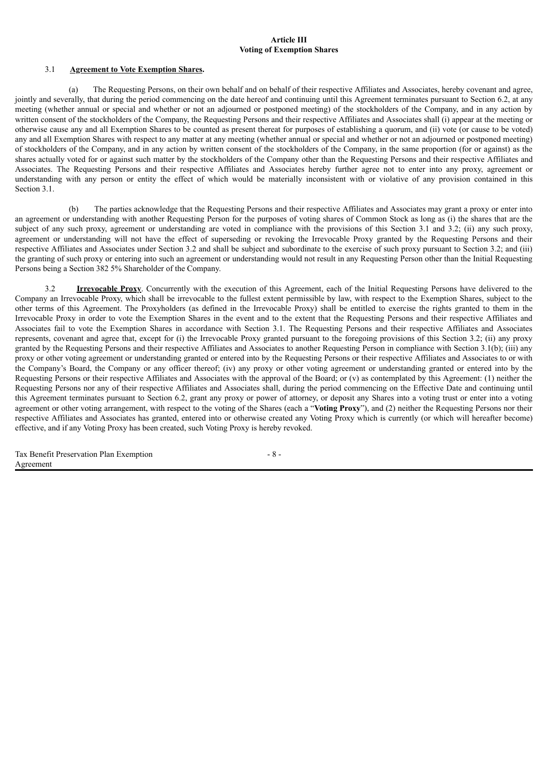#### **Article III Voting of Exemption Shares**

#### 3.1 **Agreement to Vote Exemption Shares.**

(a) The Requesting Persons, on their own behalf and on behalf of their respective Affiliates and Associates, hereby covenant and agree, jointly and severally, that during the period commencing on the date hereof and continuing until this Agreement terminates pursuant to Section 6.2, at any meeting (whether annual or special and whether or not an adjourned or postponed meeting) of the stockholders of the Company, and in any action by written consent of the stockholders of the Company, the Requesting Persons and their respective Affiliates and Associates shall (i) appear at the meeting or otherwise cause any and all Exemption Shares to be counted as present thereat for purposes of establishing a quorum, and (ii) vote (or cause to be voted) any and all Exemption Shares with respect to any matter at any meeting (whether annual or special and whether or not an adjourned or postponed meeting) of stockholders of the Company, and in any action by written consent of the stockholders of the Company, in the same proportion (for or against) as the shares actually voted for or against such matter by the stockholders of the Company other than the Requesting Persons and their respective Affiliates and Associates. The Requesting Persons and their respective Affiliates and Associates hereby further agree not to enter into any proxy, agreement or understanding with any person or entity the effect of which would be materially inconsistent with or violative of any provision contained in this Section 3.1.

(b) The parties acknowledge that the Requesting Persons and their respective Affiliates and Associates may grant a proxy or enter into an agreement or understanding with another Requesting Person for the purposes of voting shares of Common Stock as long as (i) the shares that are the subject of any such proxy, agreement or understanding are voted in compliance with the provisions of this Section 3.1 and 3.2; (ii) any such proxy, agreement or understanding will not have the effect of superseding or revoking the Irrevocable Proxy granted by the Requesting Persons and their respective Affiliates and Associates under Section 3.2 and shall be subject and subordinate to the exercise of such proxy pursuant to Section 3.2; and (iii) the granting of such proxy or entering into such an agreement or understanding would not result in any Requesting Person other than the Initial Requesting Persons being a Section 382 5% Shareholder of the Company.

**Irrevocable Proxy**. Concurrently with the execution of this Agreement, each of the Initial Requesting Persons have delivered to the Company an Irrevocable Proxy, which shall be irrevocable to the fullest extent permissible by law, with respect to the Exemption Shares, subject to the other terms of this Agreement. The Proxyholders (as defined in the Irrevocable Proxy) shall be entitled to exercise the rights granted to them in the Irrevocable Proxy in order to vote the Exemption Shares in the event and to the extent that the Requesting Persons and their respective Affiliates and Associates fail to vote the Exemption Shares in accordance with Section 3.1. The Requesting Persons and their respective Affiliates and Associates represents, covenant and agree that, except for (i) the Irrevocable Proxy granted pursuant to the foregoing provisions of this Section 3.2; (ii) any proxy granted by the Requesting Persons and their respective Affiliates and Associates to another Requesting Person in compliance with Section 3.1(b); (iii) any proxy or other voting agreement or understanding granted or entered into by the Requesting Persons or their respective Affiliates and Associates to or with the Company's Board, the Company or any officer thereof; (iv) any proxy or other voting agreement or understanding granted or entered into by the Requesting Persons or their respective Affiliates and Associates with the approval of the Board; or (v) as contemplated by this Agreement: (1) neither the Requesting Persons nor any of their respective Affiliates and Associates shall, during the period commencing on the Effective Date and continuing until this Agreement terminates pursuant to Section 6.2, grant any proxy or power of attorney, or deposit any Shares into a voting trust or enter into a voting agreement or other voting arrangement, with respect to the voting of the Shares (each a "**Voting Proxy**"), and (2) neither the Requesting Persons nor their respective Affiliates and Associates has granted, entered into or otherwise created any Voting Proxy which is currently (or which will hereafter become) effective, and if any Voting Proxy has been created, such Voting Proxy is hereby revoked.

| Tax Benefit Preservation Plan Exemption |  |
|-----------------------------------------|--|
| Agreement                               |  |

 $- 8 -$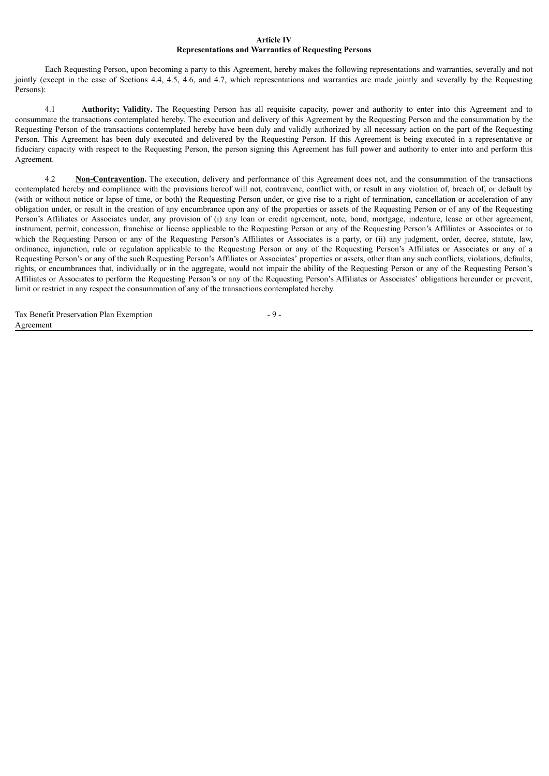#### **Article IV Representations and Warranties of Requesting Persons**

Each Requesting Person, upon becoming a party to this Agreement, hereby makes the following representations and warranties, severally and not jointly (except in the case of Sections 4.4, 4.5, 4.6, and 4.7, which representations and warranties are made jointly and severally by the Requesting Persons):

4.1 **Authority; Validity.** The Requesting Person has all requisite capacity, power and authority to enter into this Agreement and to consummate the transactions contemplated hereby. The execution and delivery of this Agreement by the Requesting Person and the consummation by the Requesting Person of the transactions contemplated hereby have been duly and validly authorized by all necessary action on the part of the Requesting Person. This Agreement has been duly executed and delivered by the Requesting Person. If this Agreement is being executed in a representative or fiduciary capacity with respect to the Requesting Person, the person signing this Agreement has full power and authority to enter into and perform this Agreement.

4.2 **Non-Contravention.** The execution, delivery and performance of this Agreement does not, and the consummation of the transactions contemplated hereby and compliance with the provisions hereof will not, contravene, conflict with, or result in any violation of, breach of, or default by (with or without notice or lapse of time, or both) the Requesting Person under, or give rise to a right of termination, cancellation or acceleration of any obligation under, or result in the creation of any encumbrance upon any of the properties or assets of the Requesting Person or of any of the Requesting Person's Affiliates or Associates under, any provision of (i) any loan or credit agreement, note, bond, mortgage, indenture, lease or other agreement, instrument, permit, concession, franchise or license applicable to the Requesting Person or any of the Requesting Person's Affiliates or Associates or to which the Requesting Person or any of the Requesting Person's Affiliates or Associates is a party, or (ii) any judgment, order, decree, statute, law, ordinance, injunction, rule or regulation applicable to the Requesting Person or any of the Requesting Person's Affiliates or Associates or any of a Requesting Person's or any of the such Requesting Person's Affiliates or Associates' properties or assets, other than any such conflicts, violations, defaults, rights, or encumbrances that, individually or in the aggregate, would not impair the ability of the Requesting Person or any of the Requesting Person's Affiliates or Associates to perform the Requesting Person's or any of the Requesting Person's Affiliates or Associates' obligations hereunder or prevent, limit or restrict in any respect the consummation of any of the transactions contemplated hereby.

|           | Tax Benefit Preservation Plan Exemption |  |  |
|-----------|-----------------------------------------|--|--|
| Agreement |                                         |  |  |

- 9 -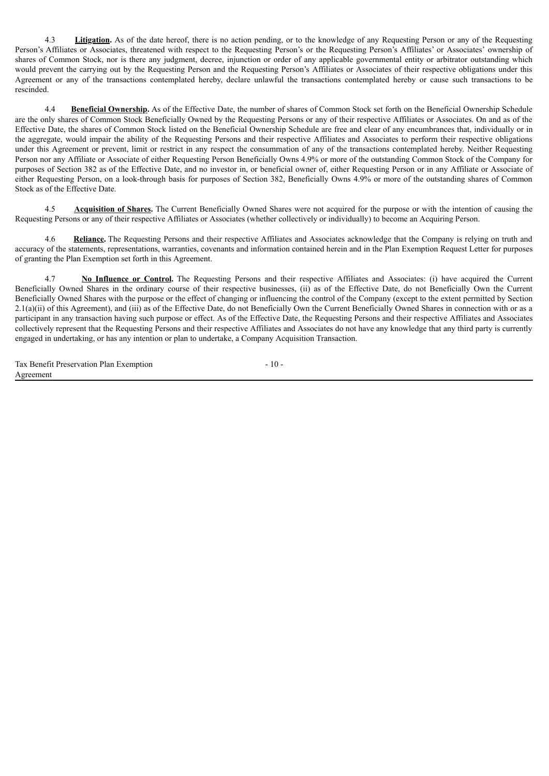4.3 **Litigation.** As of the date hereof, there is no action pending, or to the knowledge of any Requesting Person or any of the Requesting Person's Affiliates or Associates, threatened with respect to the Requesting Person's or the Requesting Person's Affiliates' or Associates' ownership of shares of Common Stock, nor is there any judgment, decree, injunction or order of any applicable governmental entity or arbitrator outstanding which would prevent the carrying out by the Requesting Person and the Requesting Person's Affiliates or Associates of their respective obligations under this Agreement or any of the transactions contemplated hereby, declare unlawful the transactions contemplated hereby or cause such transactions to be rescinded.

4.4 **Beneficial Ownership.** As of the Effective Date, the number of shares of Common Stock set forth on the Beneficial Ownership Schedule are the only shares of Common Stock Beneficially Owned by the Requesting Persons or any of their respective Affiliates or Associates. On and as of the Effective Date, the shares of Common Stock listed on the Beneficial Ownership Schedule are free and clear of any encumbrances that, individually or in the aggregate, would impair the ability of the Requesting Persons and their respective Affiliates and Associates to perform their respective obligations under this Agreement or prevent, limit or restrict in any respect the consummation of any of the transactions contemplated hereby. Neither Requesting Person nor any Affiliate or Associate of either Requesting Person Beneficially Owns 4.9% or more of the outstanding Common Stock of the Company for purposes of Section 382 as of the Effective Date, and no investor in, or beneficial owner of, either Requesting Person or in any Affiliate or Associate of either Requesting Person, on a look-through basis for purposes of Section 382, Beneficially Owns 4.9% or more of the outstanding shares of Common Stock as of the Effective Date.

4.5 **Acquisition of Shares.** The Current Beneficially Owned Shares were not acquired for the purpose or with the intention of causing the Requesting Persons or any of their respective Affiliates or Associates (whether collectively or individually) to become an Acquiring Person.

4.6 **Reliance.** The Requesting Persons and their respective Affiliates and Associates acknowledge that the Company is relying on truth and accuracy of the statements, representations, warranties, covenants and information contained herein and in the Plan Exemption Request Letter for purposes of granting the Plan Exemption set forth in this Agreement.

4.7 **No Influence or Control.** The Requesting Persons and their respective Affiliates and Associates: (i) have acquired the Current Beneficially Owned Shares in the ordinary course of their respective businesses, (ii) as of the Effective Date, do not Beneficially Own the Current Beneficially Owned Shares with the purpose or the effect of changing or influencing the control of the Company (except to the extent permitted by Section  $2.1(a)(ii)$  of this Agreement), and (iii) as of the Effective Date, do not Beneficially Own the Current Beneficially Owned Shares in connection with or as a participant in any transaction having such purpose or effect. As of the Effective Date, the Requesting Persons and their respective Affiliates and Associates collectively represent that the Requesting Persons and their respective Affiliates and Associates do not have any knowledge that any third party is currently engaged in undertaking, or has any intention or plan to undertake, a Company Acquisition Transaction.

Tax Benefit Preservation Plan Exemption Agreement

- 10 -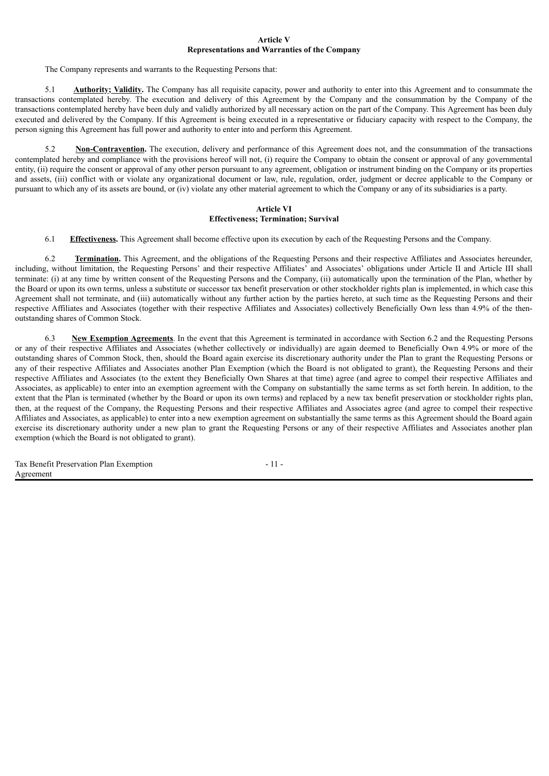#### **Article V Representations and Warranties of the Company**

The Company represents and warrants to the Requesting Persons that:

5.1 **Authority; Validity.** The Company has all requisite capacity, power and authority to enter into this Agreement and to consummate the transactions contemplated hereby. The execution and delivery of this Agreement by the Company and the consummation by the Company of the transactions contemplated hereby have been duly and validly authorized by all necessary action on the part of the Company. This Agreement has been duly executed and delivered by the Company. If this Agreement is being executed in a representative or fiduciary capacity with respect to the Company, the person signing this Agreement has full power and authority to enter into and perform this Agreement.

5.2 **Non-Contravention.** The execution, delivery and performance of this Agreement does not, and the consummation of the transactions contemplated hereby and compliance with the provisions hereof will not, (i) require the Company to obtain the consent or approval of any governmental entity, (ii) require the consent or approval of any other person pursuant to any agreement, obligation or instrument binding on the Company or its properties and assets, (iii) conflict with or violate any organizational document or law, rule, regulation, order, judgment or decree applicable to the Company or pursuant to which any of its assets are bound, or (iv) violate any other material agreement to which the Company or any of its subsidiaries is a party.

#### **Article VI Effectiveness; Termination; Survival**

6.1 **Effectiveness.** This Agreement shall become effective upon its execution by each of the Requesting Persons and the Company.

6.2 **Termination.** This Agreement, and the obligations of the Requesting Persons and their respective Affiliates and Associates hereunder, including, without limitation, the Requesting Persons' and their respective Affiliates' and Associates' obligations under Article II and Article III shall terminate: (i) at any time by written consent of the Requesting Persons and the Company, (ii) automatically upon the termination of the Plan, whether by the Board or upon its own terms, unless a substitute or successor tax benefit preservation or other stockholder rights plan is implemented, in which case this Agreement shall not terminate, and (iii) automatically without any further action by the parties hereto, at such time as the Requesting Persons and their respective Affiliates and Associates (together with their respective Affiliates and Associates) collectively Beneficially Own less than 4.9% of the thenoutstanding shares of Common Stock.

6.3 **New Exemption Agreements**. In the event that this Agreement is terminated in accordance with Section 6.2 and the Requesting Persons or any of their respective Affiliates and Associates (whether collectively or individually) are again deemed to Beneficially Own 4.9% or more of the outstanding shares of Common Stock, then, should the Board again exercise its discretionary authority under the Plan to grant the Requesting Persons or any of their respective Affiliates and Associates another Plan Exemption (which the Board is not obligated to grant), the Requesting Persons and their respective Affiliates and Associates (to the extent they Beneficially Own Shares at that time) agree (and agree to compel their respective Affiliates and Associates, as applicable) to enter into an exemption agreement with the Company on substantially the same terms as set forth herein. In addition, to the extent that the Plan is terminated (whether by the Board or upon its own terms) and replaced by a new tax benefit preservation or stockholder rights plan, then, at the request of the Company, the Requesting Persons and their respective Affiliates and Associates agree (and agree to compel their respective Affiliates and Associates, as applicable) to enter into a new exemption agreement on substantially the same terms as this Agreement should the Board again exercise its discretionary authority under a new plan to grant the Requesting Persons or any of their respective Affiliates and Associates another plan exemption (which the Board is not obligated to grant).

| Tax Benefit Preservation Plan Exemption | - 11 - |
|-----------------------------------------|--------|
| Agreement                               |        |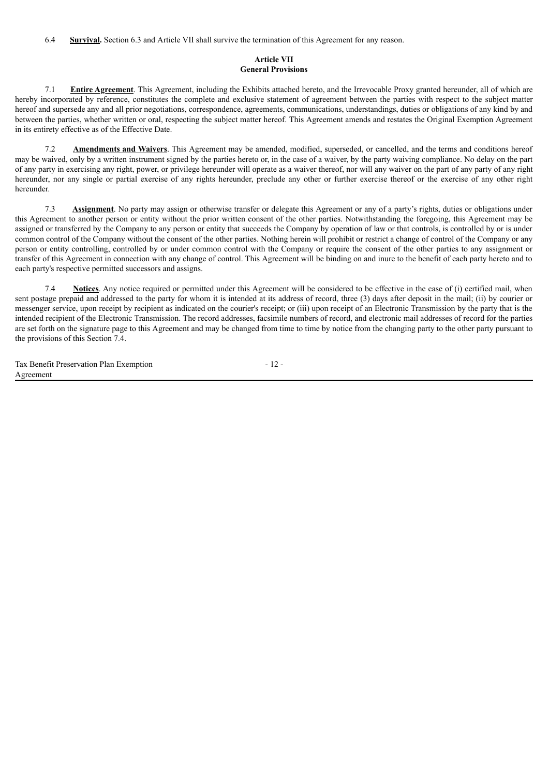6.4 **Survival.** Section 6.3 and Article VII shall survive the termination of this Agreement for any reason.

## **Article VII General Provisions**

7.1 **Entire Agreement**. This Agreement, including the Exhibits attached hereto, and the Irrevocable Proxy granted hereunder, all of which are hereby incorporated by reference, constitutes the complete and exclusive statement of agreement between the parties with respect to the subject matter hereof and supersede any and all prior negotiations, correspondence, agreements, communications, understandings, duties or obligations of any kind by and between the parties, whether written or oral, respecting the subject matter hereof. This Agreement amends and restates the Original Exemption Agreement in its entirety effective as of the Effective Date.

7.2 **Amendments and Waivers**. This Agreement may be amended, modified, superseded, or cancelled, and the terms and conditions hereof may be waived, only by a written instrument signed by the parties hereto or, in the case of a waiver, by the party waiving compliance. No delay on the part of any party in exercising any right, power, or privilege hereunder will operate as a waiver thereof, nor will any waiver on the part of any party of any right hereunder, nor any single or partial exercise of any rights hereunder, preclude any other or further exercise thereof or the exercise of any other right hereunder.

7.3 **Assignment**. No party may assign or otherwise transfer or delegate this Agreement or any of a party's rights, duties or obligations under this Agreement to another person or entity without the prior written consent of the other parties. Notwithstanding the foregoing, this Agreement may be assigned or transferred by the Company to any person or entity that succeeds the Company by operation of law or that controls, is controlled by or is under common control of the Company without the consent of the other parties. Nothing herein will prohibit or restrict a change of control of the Company or any person or entity controlling, controlled by or under common control with the Company or require the consent of the other parties to any assignment or transfer of this Agreement in connection with any change of control. This Agreement will be binding on and inure to the benefit of each party hereto and to each party's respective permitted successors and assigns.

7.4 **Notices**. Any notice required or permitted under this Agreement will be considered to be effective in the case of (i) certified mail, when sent postage prepaid and addressed to the party for whom it is intended at its address of record, three (3) days after deposit in the mail; (ii) by courier or messenger service, upon receipt by recipient as indicated on the courier's receipt; or (iii) upon receipt of an Electronic Transmission by the party that is the intended recipient of the Electronic Transmission. The record addresses, facsimile numbers of record, and electronic mail addresses of record for the parties are set forth on the signature page to this Agreement and may be changed from time to time by notice from the changing party to the other party pursuant to the provisions of this Section 7.4.

Tax Benefit Preservation Plan Exemption Agreement - 12 -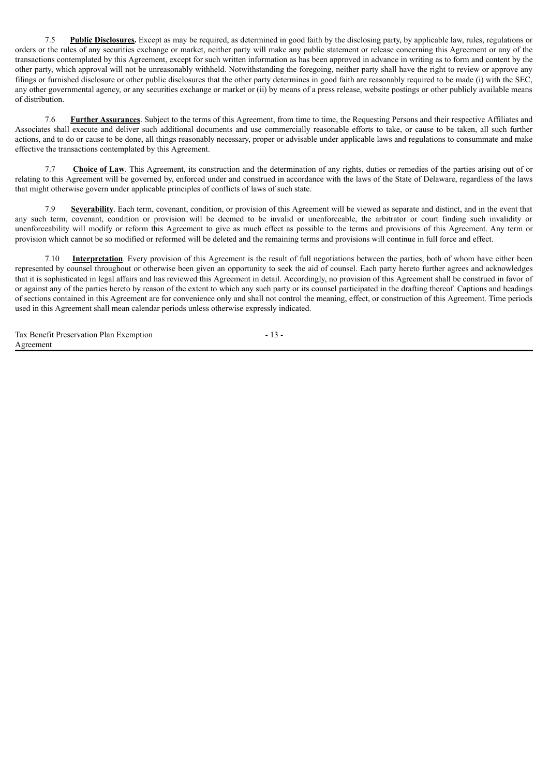7.5 **Public Disclosures.** Except as may be required, as determined in good faith by the disclosing party, by applicable law, rules, regulations or orders or the rules of any securities exchange or market, neither party will make any public statement or release concerning this Agreement or any of the transactions contemplated by this Agreement, except for such written information as has been approved in advance in writing as to form and content by the other party, which approval will not be unreasonably withheld. Notwithstanding the foregoing, neither party shall have the right to review or approve any filings or furnished disclosure or other public disclosures that the other party determines in good faith are reasonably required to be made (i) with the SEC, any other governmental agency, or any securities exchange or market or (ii) by means of a press release, website postings or other publicly available means of distribution.

7.6 **Further Assurances**. Subject to the terms of this Agreement, from time to time, the Requesting Persons and their respective Affiliates and Associates shall execute and deliver such additional documents and use commercially reasonable efforts to take, or cause to be taken, all such further actions, and to do or cause to be done, all things reasonably necessary, proper or advisable under applicable laws and regulations to consummate and make effective the transactions contemplated by this Agreement.

7.7 **Choice of Law**. This Agreement, its construction and the determination of any rights, duties or remedies of the parties arising out of or relating to this Agreement will be governed by, enforced under and construed in accordance with the laws of the State of Delaware, regardless of the laws that might otherwise govern under applicable principles of conflicts of laws of such state.

7.9 **Severability**. Each term, covenant, condition, or provision of this Agreement will be viewed as separate and distinct, and in the event that any such term, covenant, condition or provision will be deemed to be invalid or unenforceable, the arbitrator or court finding such invalidity or unenforceability will modify or reform this Agreement to give as much effect as possible to the terms and provisions of this Agreement. Any term or provision which cannot be so modified or reformed will be deleted and the remaining terms and provisions will continue in full force and effect.

7.10 **Interpretation**. Every provision of this Agreement is the result of full negotiations between the parties, both of whom have either been represented by counsel throughout or otherwise been given an opportunity to seek the aid of counsel. Each party hereto further agrees and acknowledges that it is sophisticated in legal affairs and has reviewed this Agreement in detail. Accordingly, no provision of this Agreement shall be construed in favor of or against any of the parties hereto by reason of the extent to which any such party or its counsel participated in the drafting thereof. Captions and headings of sections contained in this Agreement are for convenience only and shall not control the meaning, effect, or construction of this Agreement. Time periods used in this Agreement shall mean calendar periods unless otherwise expressly indicated.

- 13 -

| Tax Benefit Preservation Plan Exemption |  |
|-----------------------------------------|--|
| Agreement                               |  |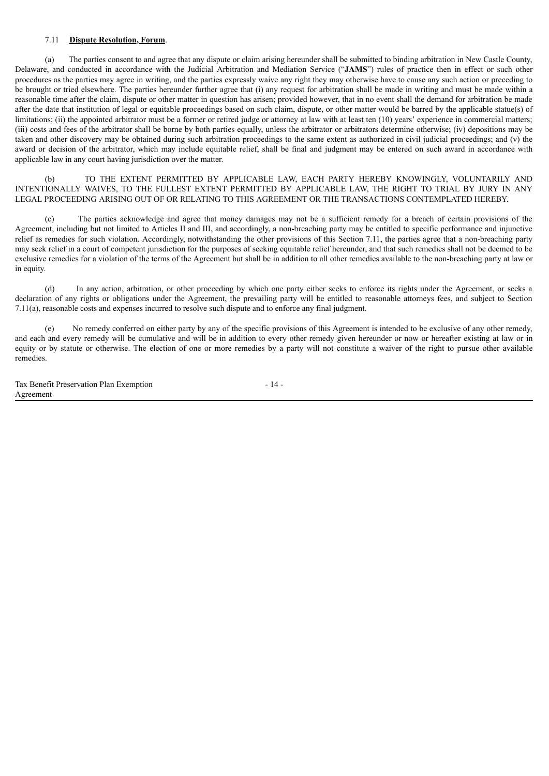#### 7.11 **Dispute Resolution, Forum**.

(a) The parties consent to and agree that any dispute or claim arising hereunder shall be submitted to binding arbitration in New Castle County, Delaware, and conducted in accordance with the Judicial Arbitration and Mediation Service ("**JAMS**") rules of practice then in effect or such other procedures as the parties may agree in writing, and the parties expressly waive any right they may otherwise have to cause any such action or preceding to be brought or tried elsewhere. The parties hereunder further agree that (i) any request for arbitration shall be made in writing and must be made within a reasonable time after the claim, dispute or other matter in question has arisen; provided however, that in no event shall the demand for arbitration be made after the date that institution of legal or equitable proceedings based on such claim, dispute, or other matter would be barred by the applicable statue(s) of limitations: (ii) the appointed arbitrator must be a former or retired judge or attorney at law with at least ten (10) years' experience in commercial matters; (iii) costs and fees of the arbitrator shall be borne by both parties equally, unless the arbitrator or arbitrators determine otherwise; (iv) depositions may be taken and other discovery may be obtained during such arbitration proceedings to the same extent as authorized in civil judicial proceedings; and (v) the award or decision of the arbitrator, which may include equitable relief, shall be final and judgment may be entered on such award in accordance with applicable law in any court having jurisdiction over the matter.

(b) TO THE EXTENT PERMITTED BY APPLICABLE LAW, EACH PARTY HEREBY KNOWINGLY, VOLUNTARILY AND INTENTIONALLY WAIVES, TO THE FULLEST EXTENT PERMITTED BY APPLICABLE LAW, THE RIGHT TO TRIAL BY JURY IN ANY LEGAL PROCEEDING ARISING OUT OF OR RELATING TO THIS AGREEMENT OR THE TRANSACTIONS CONTEMPLATED HEREBY.

(c) The parties acknowledge and agree that money damages may not be a sufficient remedy for a breach of certain provisions of the Agreement, including but not limited to Articles II and III, and accordingly, a non-breaching party may be entitled to specific performance and injunctive relief as remedies for such violation. Accordingly, notwithstanding the other provisions of this Section 7.11, the parties agree that a non-breaching party may seek relief in a court of competent jurisdiction for the purposes of seeking equitable relief hereunder, and that such remedies shall not be deemed to be exclusive remedies for a violation of the terms of the Agreement but shall be in addition to all other remedies available to the non-breaching party at law or in equity.

(d) In any action, arbitration, or other proceeding by which one party either seeks to enforce its rights under the Agreement, or seeks a declaration of any rights or obligations under the Agreement, the prevailing party will be entitled to reasonable attorneys fees, and subject to Section 7.11(a), reasonable costs and expenses incurred to resolve such dispute and to enforce any final judgment.

(e) No remedy conferred on either party by any of the specific provisions of this Agreement is intended to be exclusive of any other remedy, and each and every remedy will be cumulative and will be in addition to every other remedy given hereunder or now or hereafter existing at law or in equity or by statute or otherwise. The election of one or more remedies by a party will not constitute a waiver of the right to pursue other available remedies.

| Tax Benefit Preservation Plan Exemption |  |
|-----------------------------------------|--|
| Agreement                               |  |

$$
-14
$$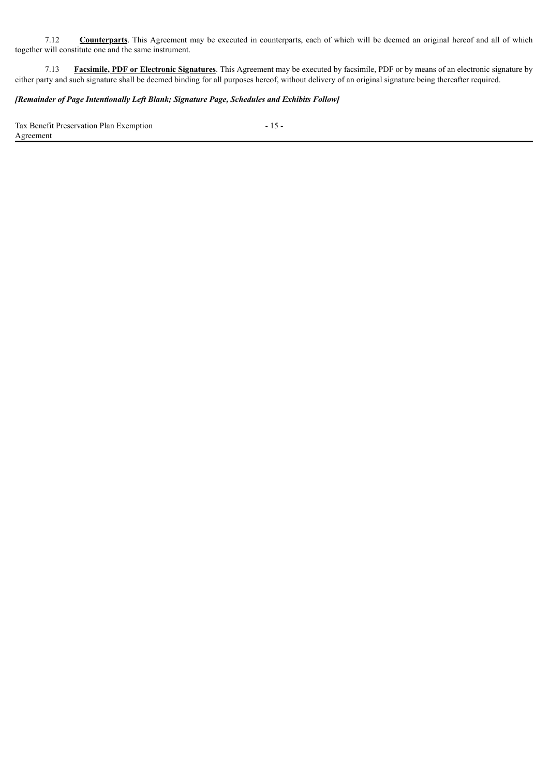7.12 **Counterparts**. This Agreement may be executed in counterparts, each of which will be deemed an original hereof and all of which together will constitute one and the same instrument.

7.13 **Facsimile, PDF or Electronic Signatures**. This Agreement may be executed by facsimile, PDF or by means of an electronic signature by either party and such signature shall be deemed binding for all purposes hereof, without delivery of an original signature being thereafter required.

# *[Remainder of Page Intentionally Left Blank; Signature Page, Schedules and Exhibits Follow]*

Tax Benefit Preservation Plan Exemption Agreement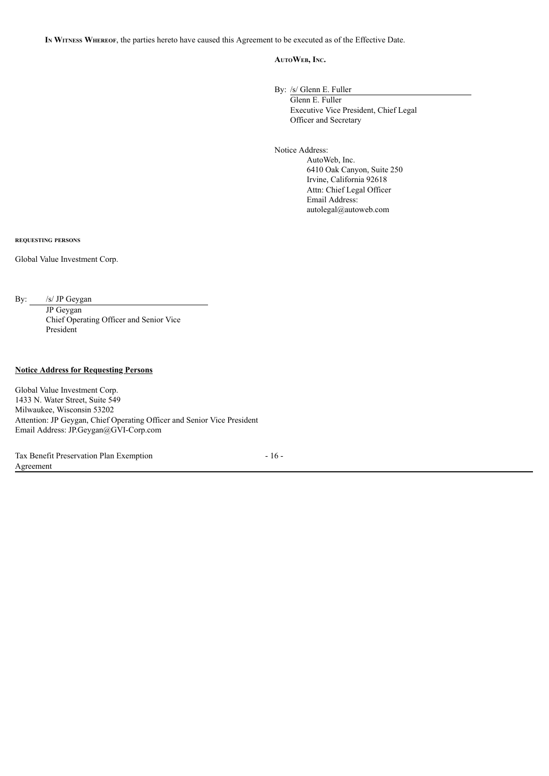**I<sup>n</sup> Witness Whereof**, the parties hereto have caused this Agreement to be executed as of the Effective Date.

#### **AutoWeb, Inc.**

By: /s/ Glenn E. Fuller

Glenn E. Fuller Executive Vice President, Chief Legal Officer and Secretary

Notice Address:

AutoWeb, Inc. 6410 Oak Canyon, Suite 250 Irvine, California 92618 Attn: Chief Legal Officer Email Address: autolegal@autoweb.com

**requesting persons**

Global Value Investment Corp.

By: /s/ JP Geygan

JP Geygan Chief Operating Officer and Senior Vice President

### **Notice Address for Requesting Persons**

Global Value Investment Corp. 1433 N. Water Street, Suite 549 Milwaukee, Wisconsin 53202 Attention: JP Geygan, Chief Operating Officer and Senior Vice President Email Address: JP.Geygan@GVI-Corp.com

Tax Benefit Preservation Plan Exemption Agreement

- 16 -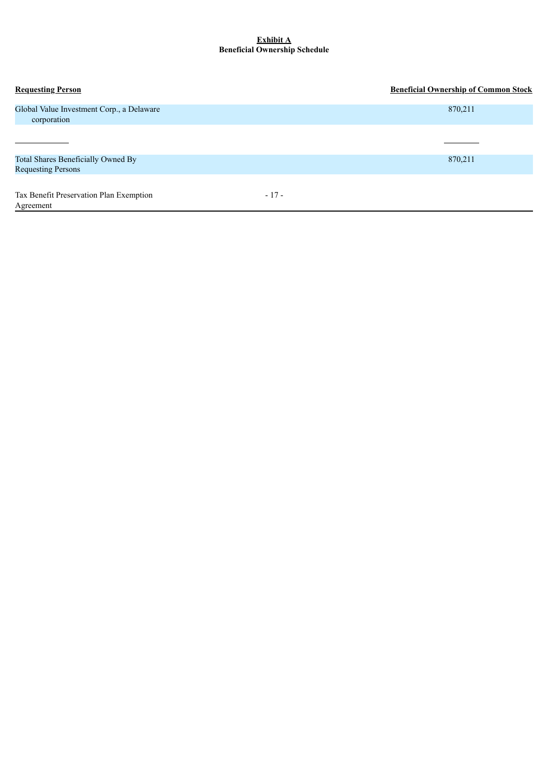#### **Exhibit A Beneficial Ownership Schedule**

| <b>Requesting Person</b>                                        |        | <b>Beneficial Ownership of Common Stock</b> |
|-----------------------------------------------------------------|--------|---------------------------------------------|
| Global Value Investment Corp., a Delaware<br>corporation        |        | 870,211                                     |
|                                                                 |        |                                             |
| Total Shares Beneficially Owned By<br><b>Requesting Persons</b> |        | 870,211                                     |
| Tax Benefit Preservation Plan Exemption<br>Agreement            | $-17-$ |                                             |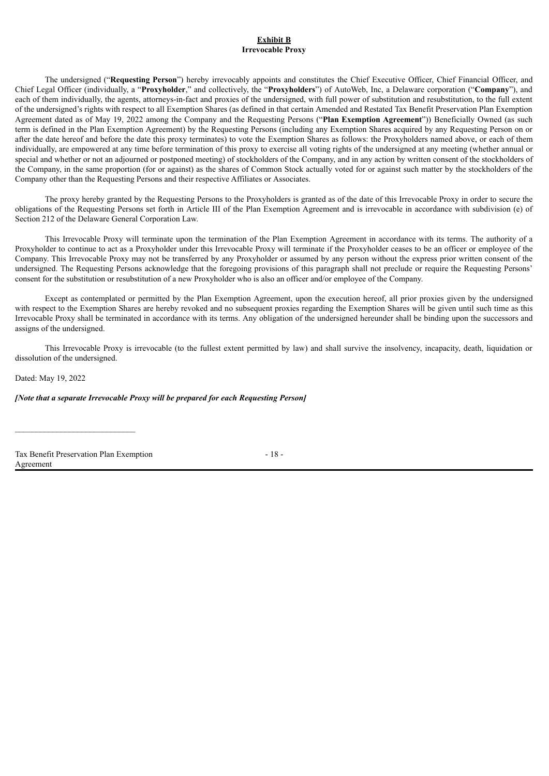#### **Exhibit B Irrevocable Proxy**

The undersigned ("**Requesting Person**") hereby irrevocably appoints and constitutes the Chief Executive Officer, Chief Financial Officer, and Chief Legal Officer (individually, a "**Proxyholder**," and collectively, the "**Proxyholders**") of AutoWeb, Inc, a Delaware corporation ("**Company**"), and each of them individually, the agents, attorneys-in-fact and proxies of the undersigned, with full power of substitution and resubstitution, to the full extent of the undersigned's rights with respect to all Exemption Shares (as defined in that certain Amended and Restated Tax Benefit Preservation Plan Exemption Agreement dated as of May 19, 2022 among the Company and the Requesting Persons ("**Plan Exemption Agreement**")) Beneficially Owned (as such term is defined in the Plan Exemption Agreement) by the Requesting Persons (including any Exemption Shares acquired by any Requesting Person on or after the date hereof and before the date this proxy terminates) to vote the Exemption Shares as follows: the Proxyholders named above, or each of them individually, are empowered at any time before termination of this proxy to exercise all voting rights of the undersigned at any meeting (whether annual or special and whether or not an adjourned or postponed meeting) of stockholders of the Company, and in any action by written consent of the stockholders of the Company, in the same proportion (for or against) as the shares of Common Stock actually voted for or against such matter by the stockholders of the Company other than the Requesting Persons and their respective Affiliates or Associates.

The proxy hereby granted by the Requesting Persons to the Proxyholders is granted as of the date of this Irrevocable Proxy in order to secure the obligations of the Requesting Persons set forth in Article III of the Plan Exemption Agreement and is irrevocable in accordance with subdivision (e) of Section 212 of the Delaware General Corporation Law.

This Irrevocable Proxy will terminate upon the termination of the Plan Exemption Agreement in accordance with its terms. The authority of a Proxyholder to continue to act as a Proxyholder under this Irrevocable Proxy will terminate if the Proxyholder ceases to be an officer or employee of the Company. This Irrevocable Proxy may not be transferred by any Proxyholder or assumed by any person without the express prior written consent of the undersigned. The Requesting Persons acknowledge that the foregoing provisions of this paragraph shall not preclude or require the Requesting Persons' consent for the substitution or resubstitution of a new Proxyholder who is also an officer and/or employee of the Company.

Except as contemplated or permitted by the Plan Exemption Agreement, upon the execution hereof, all prior proxies given by the undersigned with respect to the Exemption Shares are hereby revoked and no subsequent proxies regarding the Exemption Shares will be given until such time as this Irrevocable Proxy shall be terminated in accordance with its terms. Any obligation of the undersigned hereunder shall be binding upon the successors and assigns of the undersigned.

This Irrevocable Proxy is irrevocable (to the fullest extent permitted by law) and shall survive the insolvency, incapacity, death, liquidation or dissolution of the undersigned.

Dated: May 19, 2022

*[Note that a separate Irrevocable Proxy will be prepared for each Requesting Person]*

Tax Benefit Preservation Plan Exemption Agreement

 $\mathcal{L}_\text{max}$ 

 $-18 -$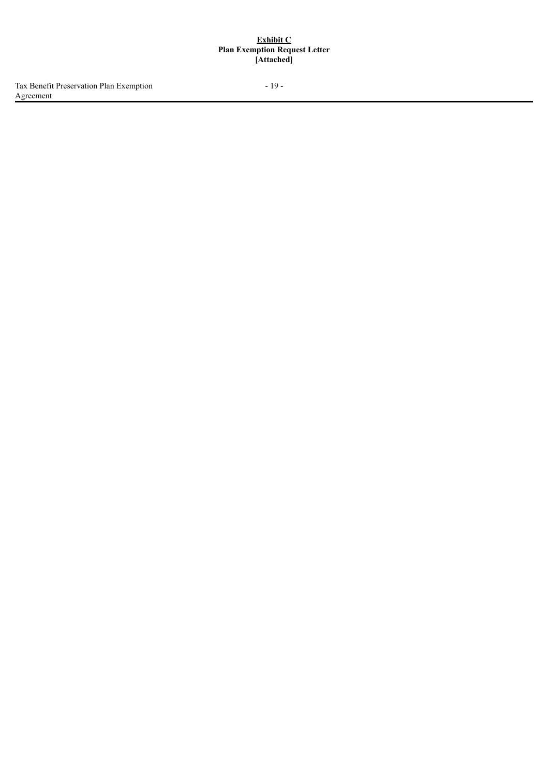#### **Exhibit C Plan Exemption Request Letter [Attached]**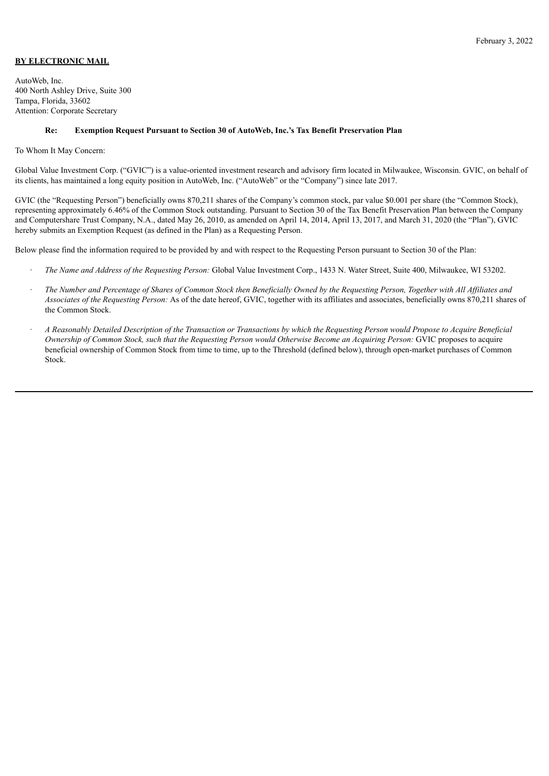# **BY ELECTRONIC MAIL**

AutoWeb, Inc. 400 North Ashley Drive, Suite 300 Tampa, Florida, 33602 Attention: Corporate Secretary

#### **Re: Exemption Request Pursuant to Section 30 of AutoWeb, Inc.'s Tax Benefit Preservation Plan**

#### To Whom It May Concern:

Global Value Investment Corp. ("GVIC") is a value-oriented investment research and advisory firm located in Milwaukee, Wisconsin. GVIC, on behalf of its clients, has maintained a long equity position in AutoWeb, Inc. ("AutoWeb" or the "Company") since late 2017.

GVIC (the "Requesting Person") beneficially owns 870,211 shares of the Company's common stock, par value \$0.001 per share (the "Common Stock), representing approximately 6.46% of the Common Stock outstanding. Pursuant to Section 30 of the Tax Benefit Preservation Plan between the Company and Computershare Trust Company, N.A., dated May 26, 2010, as amended on April 14, 2014, April 13, 2017, and March 31, 2020 (the "Plan"), GVIC hereby submits an Exemption Request (as defined in the Plan) as a Requesting Person.

Below please find the information required to be provided by and with respect to the Requesting Person pursuant to Section 30 of the Plan:

- · *The Name and Address of the Requesting Person:* Global Value Investment Corp., 1433 N. Water Street, Suite 400, Milwaukee, WI 53202.
- The Number and Percentage of Shares of Common Stock then Beneficially Owned by the Requesting Person. Together with All Affiliates and *Associates of the Requesting Person:* As of the date hereof, GVIC, together with its affiliates and associates, beneficially owns 870,211 shares of the Common Stock.
- A Reasonably Detailed Description of the Transaction or Transactions by which the Requesting Person would Propose to Acquire Beneficial Ownership of Common Stock, such that the Requesting Person would Otherwise Become an Acquiring Person: GVIC proposes to acquire beneficial ownership of Common Stock from time to time, up to the Threshold (defined below), through open-market purchases of Common Stock.